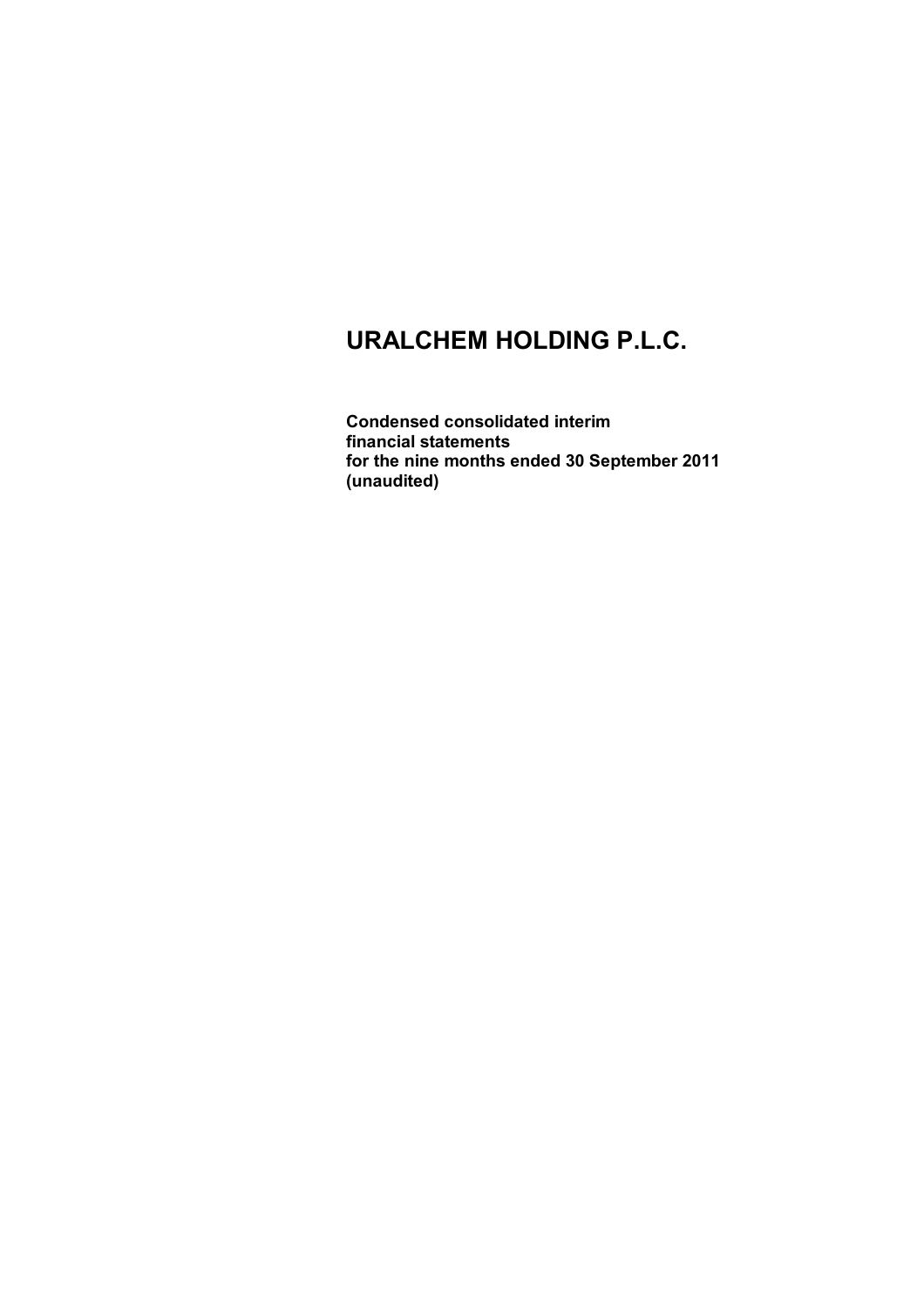**Condensed consolidated interim financial statements for the nine months ended 30 September 2011 (unaudited)**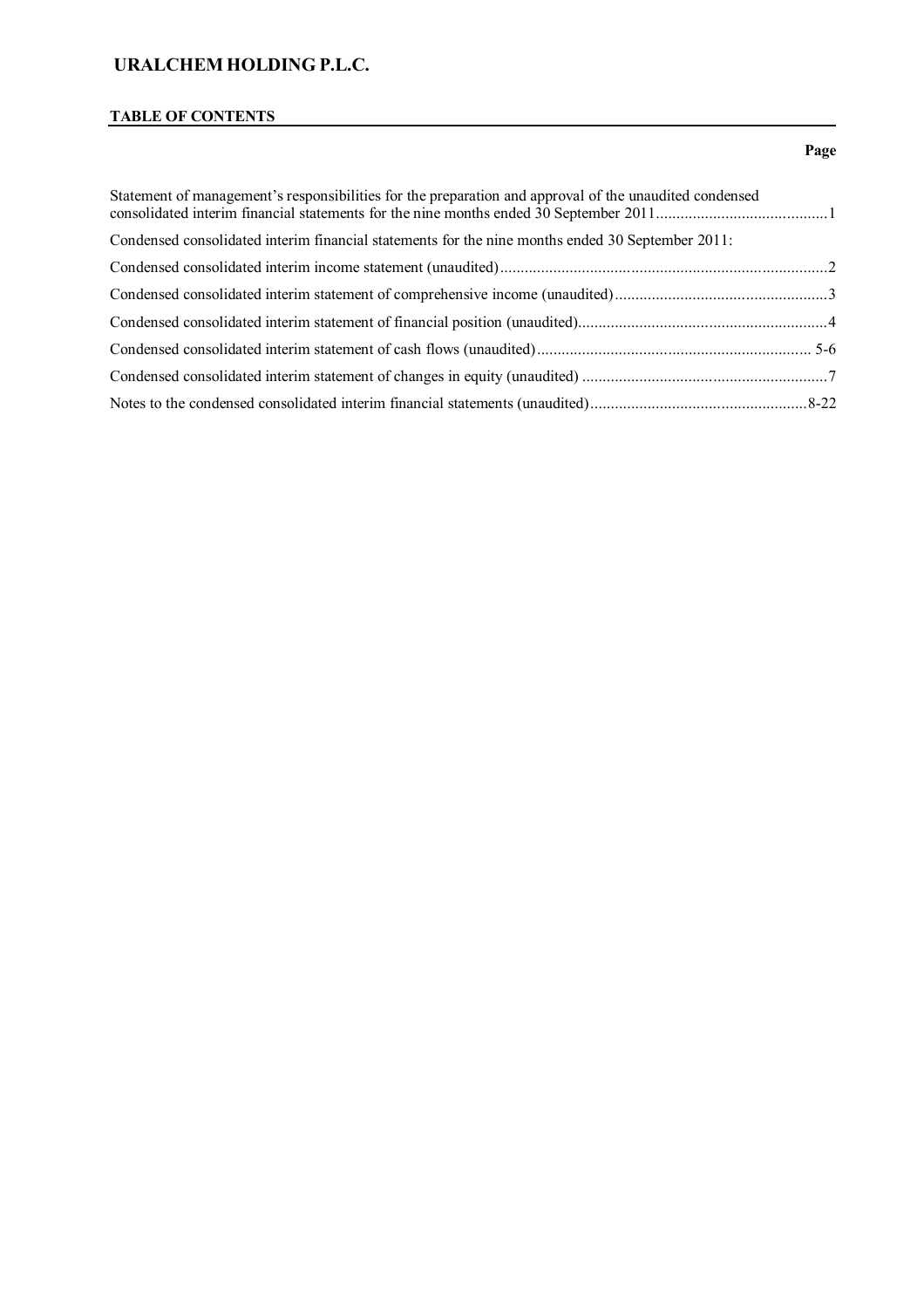# **TABLE OF CONTENTS**

### **Page**

| Statement of management's responsibilities for the preparation and approval of the unaudited condensed |  |
|--------------------------------------------------------------------------------------------------------|--|
| Condensed consolidated interim financial statements for the nine months ended 30 September 2011:       |  |
|                                                                                                        |  |
|                                                                                                        |  |
|                                                                                                        |  |
|                                                                                                        |  |
|                                                                                                        |  |
|                                                                                                        |  |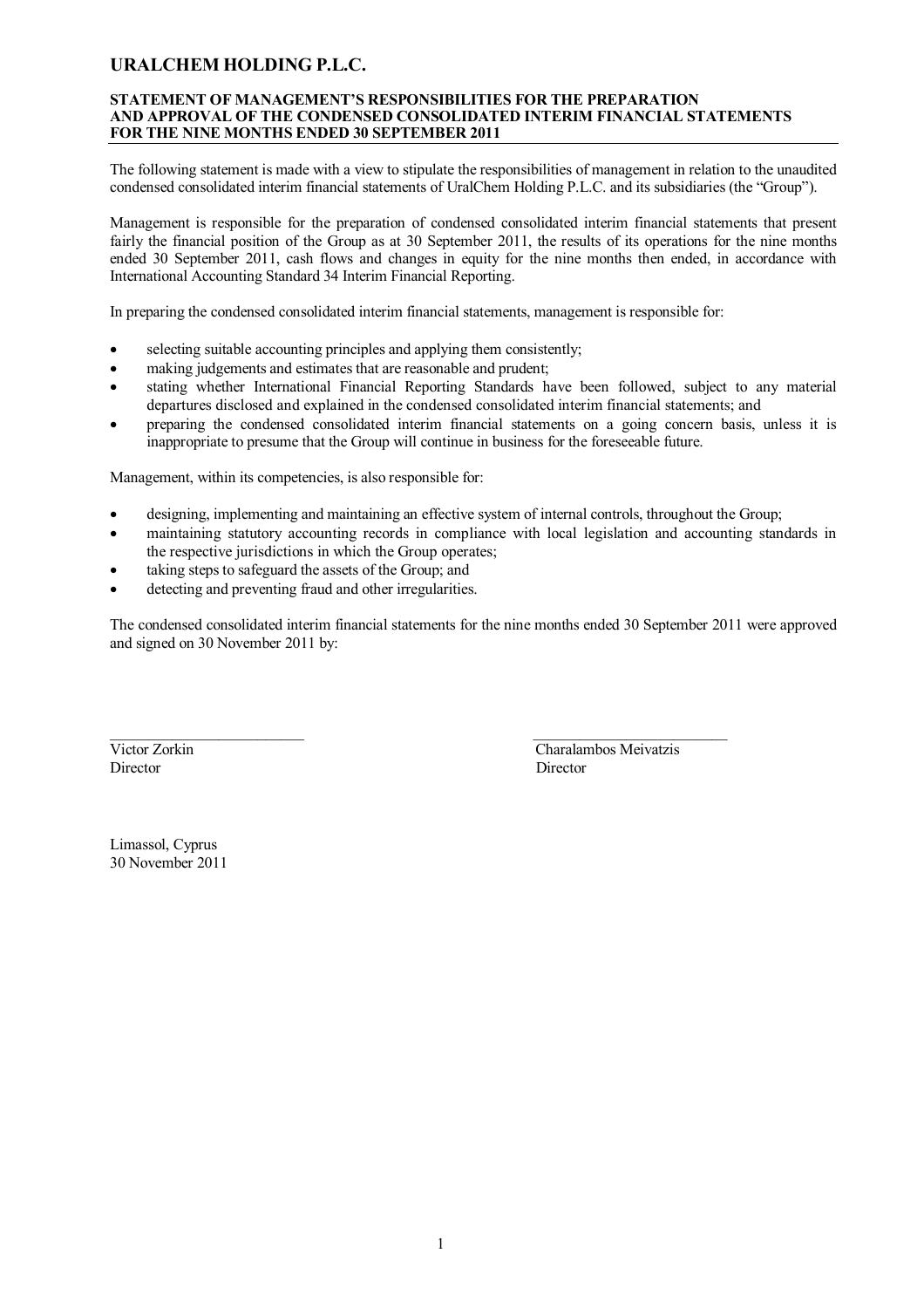### **STATEMENT OF MANAGEMENT'S RESPONSIBILITIES FOR THE PREPARATION AND APPROVAL OF THE CONDENSED CONSOLIDATED INTERIM FINANCIAL STATEMENTS FOR THE NINE MONTHS ENDED 30 SEPTEMBER 2011**

The following statement is made with a view to stipulate the responsibilities of management in relation to the unaudited condensed consolidated interim financial statements of UralChem Holding P.L.C. and its subsidiaries (the "Group").

Management is responsible for the preparation of condensed consolidated interim financial statements that present fairly the financial position of the Group as at 30 September 2011, the results of its operations for the nine months ended 30 September 2011, cash flows and changes in equity for the nine months then ended, in accordance with International Accounting Standard 34 Interim Financial Reporting.

In preparing the condensed consolidated interim financial statements, management is responsible for:

- selecting suitable accounting principles and applying them consistently;
- making judgements and estimates that are reasonable and prudent;
- stating whether International Financial Reporting Standards have been followed, subject to any material departures disclosed and explained in the condensed consolidated interim financial statements; and
- preparing the condensed consolidated interim financial statements on a going concern basis, unless it is inappropriate to presume that the Group will continue in business for the foreseeable future.

Management, within its competencies, is also responsible for:

- designing, implementing and maintaining an effective system of internal controls, throughout the Group;
- maintaining statutory accounting records in compliance with local legislation and accounting standards in the respective jurisdictions in which the Group operates;
- taking steps to safeguard the assets of the Group; and
- detecting and preventing fraud and other irregularities.

The condensed consolidated interim financial statements for the nine months ended 30 September 2011 were approved and signed on 30 November 2011 by:

Director Director Director

\_\_\_\_\_\_\_\_\_\_\_\_\_\_\_\_\_\_\_\_\_\_\_\_\_ \_\_\_\_\_\_\_\_\_\_\_\_\_\_\_\_\_\_\_\_\_\_\_\_\_ Victor Zorkin Charalambos Meivatzis

Limassol, Cyprus 30 November 2011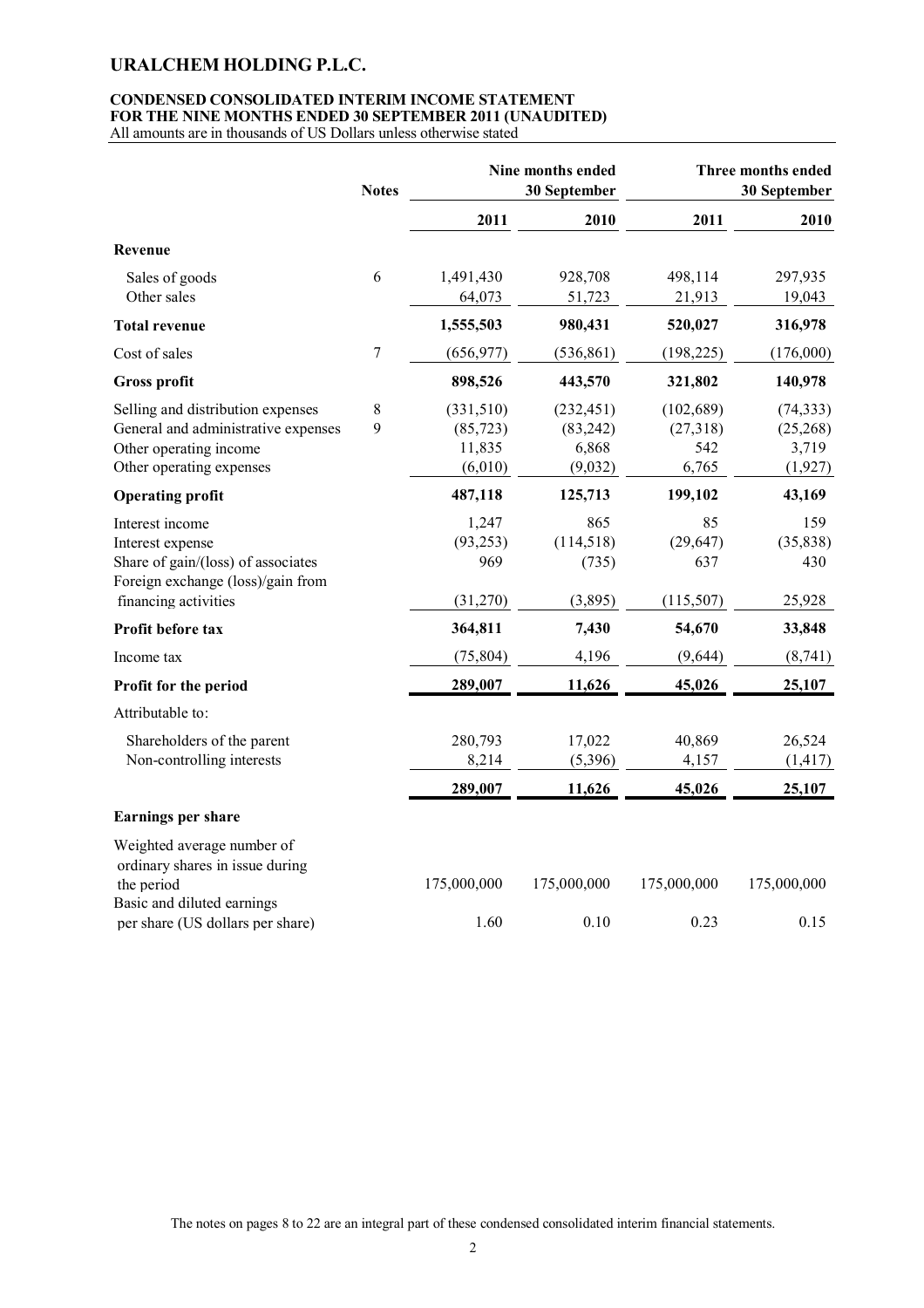# **CONDENSED CONSOLIDATED INTERIM INCOME STATEMENT FOR THE NINE MONTHS ENDED 30 SEPTEMBER 2011 (UNAUDITED)**

All amounts are in thousands of US Dollars unless otherwise stated

|                                     | <b>Notes</b> |             | Nine months ended<br>30 September |             | Three months ended<br>30 September |
|-------------------------------------|--------------|-------------|-----------------------------------|-------------|------------------------------------|
|                                     |              | 2011        | 2010                              | 2011        | 2010                               |
| Revenue                             |              |             |                                   |             |                                    |
| Sales of goods                      | 6            | 1,491,430   | 928,708                           | 498,114     | 297,935                            |
| Other sales                         |              | 64,073      | 51,723                            | 21,913      | 19,043                             |
| <b>Total revenue</b>                |              | 1,555,503   | 980,431                           | 520,027     | 316,978                            |
| Cost of sales                       | 7            | (656, 977)  | (536, 861)                        | (198, 225)  | (176,000)                          |
| <b>Gross profit</b>                 |              | 898,526     | 443,570                           | 321,802     | 140,978                            |
| Selling and distribution expenses   | 8            | (331, 510)  | (232, 451)                        | (102, 689)  | (74, 333)                          |
| General and administrative expenses | 9            | (85, 723)   | (83,242)                          | (27,318)    | (25,268)                           |
| Other operating income              |              | 11,835      | 6,868                             | 542         | 3,719                              |
| Other operating expenses            |              | (6,010)     | (9,032)                           | 6,765       | (1, 927)                           |
| <b>Operating profit</b>             |              | 487,118     | 125,713                           | 199,102     | 43,169                             |
| Interest income                     |              | 1,247       | 865                               | 85          | 159                                |
| Interest expense                    |              | (93, 253)   | (114, 518)                        | (29, 647)   | (35, 838)                          |
| Share of gain/(loss) of associates  |              | 969         | (735)                             | 637         | 430                                |
| Foreign exchange (loss)/gain from   |              |             |                                   |             |                                    |
| financing activities                |              | (31,270)    | (3,895)                           | (115, 507)  | 25,928                             |
| Profit before tax                   |              | 364,811     | 7,430                             | 54,670      | 33,848                             |
| Income tax                          |              | (75, 804)   | 4,196                             | (9,644)     | (8,741)                            |
| Profit for the period               |              | 289,007     | 11,626                            | 45,026      | 25,107                             |
| Attributable to:                    |              |             |                                   |             |                                    |
| Shareholders of the parent          |              | 280,793     | 17,022                            | 40,869      | 26,524                             |
| Non-controlling interests           |              | 8,214       | (5,396)                           | 4,157       | (1, 417)                           |
|                                     |              | 289,007     | 11,626                            | 45,026      | 25,107                             |
| <b>Earnings per share</b>           |              |             |                                   |             |                                    |
| Weighted average number of          |              |             |                                   |             |                                    |
| ordinary shares in issue during     |              |             |                                   |             |                                    |
| the period                          |              | 175,000,000 | 175,000,000                       | 175,000,000 | 175,000,000                        |
| Basic and diluted earnings          |              |             |                                   |             |                                    |
| per share (US dollars per share)    |              | 1.60        | 0.10                              | 0.23        | 0.15                               |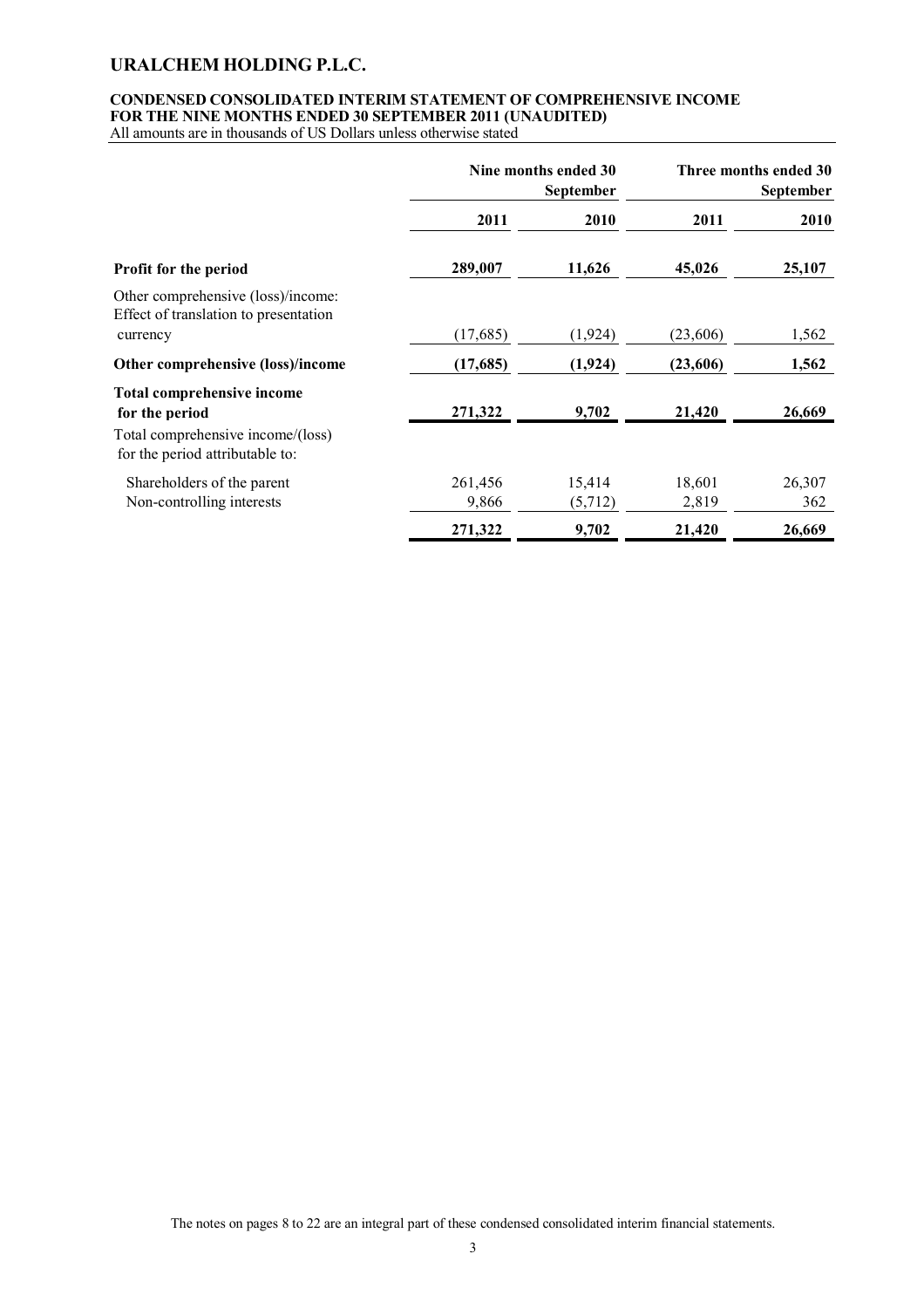### **CONDENSED CONSOLIDATED INTERIM STATEMENT OF COMPREHENSIVE INCOME FOR THE NINE MONTHS ENDED 30 SEPTEMBER 2011 (UNAUDITED)**

All amounts are in thousands of US Dollars unless otherwise stated

|                                                                                                                             | Nine months ended 30<br><b>September</b> |                   |                 | Three months ended 30<br>September |
|-----------------------------------------------------------------------------------------------------------------------------|------------------------------------------|-------------------|-----------------|------------------------------------|
|                                                                                                                             | 2011                                     | 2010              | 2011            | 2010                               |
| Profit for the period                                                                                                       | 289,007                                  | 11,626            | 45,026          | 25,107                             |
| Other comprehensive (loss)/income:<br>Effect of translation to presentation<br>currency                                     | (17,685)                                 | (1, 924)          | (23,606)        | 1,562                              |
| Other comprehensive (loss)/income                                                                                           | (17,685)                                 | (1,924)           | (23,606)        | 1,562                              |
| <b>Total comprehensive income</b><br>for the period<br>Total comprehensive income/(loss)<br>for the period attributable to: | 271,322                                  | 9,702             | 21,420          | 26,669                             |
| Shareholders of the parent<br>Non-controlling interests                                                                     | 261,456<br>9,866                         | 15,414<br>(5,712) | 18,601<br>2,819 | 26,307<br>362                      |
|                                                                                                                             | 271,322                                  | 9,702             | 21,420          | 26,669                             |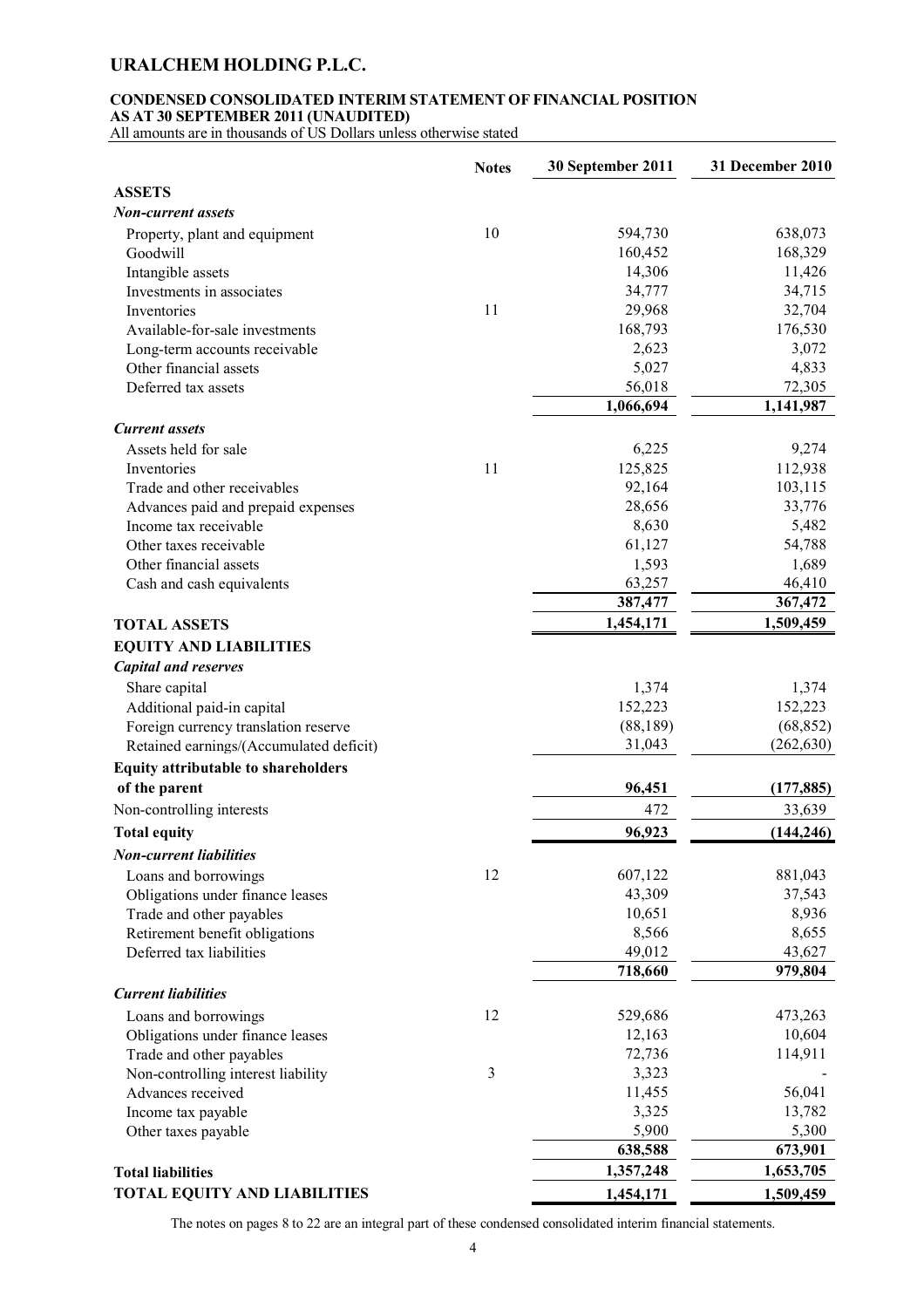### **CONDENSED CONSOLIDATED INTERIM STATEMENT OF FINANCIAL POSITION AS AT 30 SEPTEMBER 2011 (UNAUDITED)**

All amounts are in thousands of US Dollars unless otherwise stated

|                                            | <b>Notes</b> | 30 September 2011 | 31 December 2010 |
|--------------------------------------------|--------------|-------------------|------------------|
| <b>ASSETS</b>                              |              |                   |                  |
| Non-current assets                         |              |                   |                  |
| Property, plant and equipment              | 10           | 594,730           | 638,073          |
| Goodwill                                   |              | 160,452           | 168,329          |
| Intangible assets                          |              | 14,306            | 11,426           |
| Investments in associates                  |              | 34,777            | 34,715           |
| Inventories                                | 11           | 29,968            | 32,704           |
| Available-for-sale investments             |              | 168,793           | 176,530          |
| Long-term accounts receivable              |              | 2,623             | 3,072            |
| Other financial assets                     |              | 5,027             | 4,833            |
| Deferred tax assets                        |              | 56,018            | 72,305           |
|                                            |              | 1,066,694         | 1,141,987        |
| <b>Current assets</b>                      |              |                   |                  |
| Assets held for sale                       |              | 6,225             | 9,274            |
| Inventories                                | 11           | 125,825           | 112,938          |
| Trade and other receivables                |              | 92,164            | 103,115          |
| Advances paid and prepaid expenses         |              | 28,656            | 33,776           |
| Income tax receivable                      |              | 8,630             | 5,482            |
| Other taxes receivable                     |              | 61,127            | 54,788           |
| Other financial assets                     |              | 1,593             | 1,689            |
| Cash and cash equivalents                  |              | 63,257            | 46,410           |
|                                            |              | 387,477           | 367,472          |
| <b>TOTAL ASSETS</b>                        |              | 1,454,171         | 1,509,459        |
| <b>EQUITY AND LIABILITIES</b>              |              |                   |                  |
| <b>Capital and reserves</b>                |              |                   |                  |
| Share capital                              |              | 1,374             | 1,374            |
| Additional paid-in capital                 |              | 152,223           | 152,223          |
| Foreign currency translation reserve       |              | (88, 189)         | (68, 852)        |
| Retained earnings/(Accumulated deficit)    |              | 31,043            | (262, 630)       |
| <b>Equity attributable to shareholders</b> |              |                   |                  |
| of the parent                              |              | 96,451            | (177, 885)       |
| Non-controlling interests                  |              | 472               | 33,639           |
| <b>Total equity</b>                        |              | 96,923            | (144, 246)       |
| <b>Non-current liabilities</b>             |              |                   |                  |
| Loans and borrowings                       | 12           | 607,122           | 881,043          |
| Obligations under finance leases           |              | 43,309            | 37,543           |
| Trade and other payables                   |              | 10,651            | 8,936            |
| Retirement benefit obligations             |              | 8,566             | 8,655            |
| Deferred tax liabilities                   |              | 49,012            | 43,627           |
|                                            |              | 718,660           | 979,804          |
| <b>Current liabilities</b>                 |              |                   |                  |
| Loans and borrowings                       | 12           | 529,686           | 473,263          |
| Obligations under finance leases           |              | 12,163            | 10,604           |
| Trade and other payables                   |              | 72,736            | 114,911          |
| Non-controlling interest liability         | 3            | 3,323             |                  |
| Advances received                          |              | 11,455            | 56,041           |
| Income tax payable                         |              | 3,325             | 13,782           |
| Other taxes payable                        |              | 5,900             | 5,300            |
|                                            |              | 638,588           | 673,901          |
| <b>Total liabilities</b>                   |              | 1,357,248         | 1,653,705        |
| <b>TOTAL EQUITY AND LIABILITIES</b>        |              | 1,454,171         | 1,509,459        |
|                                            |              |                   |                  |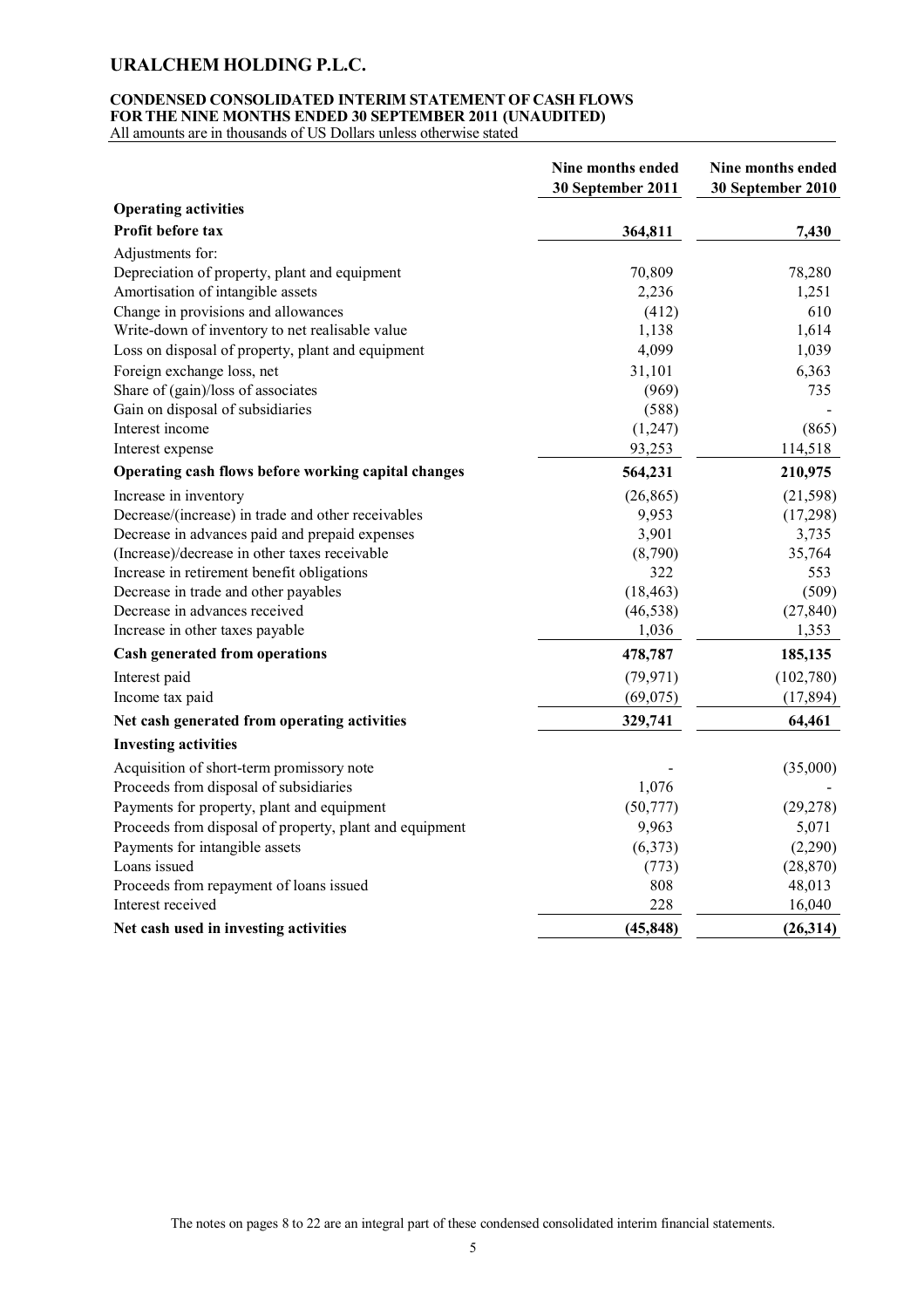### **CONDENSED CONSOLIDATED INTERIM STATEMENT OF CASH FLOWS FOR THE NINE MONTHS ENDED 30 SEPTEMBER 2011 (UNAUDITED)**

All amounts are in thousands of US Dollars unless otherwise stated

|                                                         | Nine months ended<br>30 September 2011 | Nine months ended<br>30 September 2010 |
|---------------------------------------------------------|----------------------------------------|----------------------------------------|
| <b>Operating activities</b>                             |                                        |                                        |
| Profit before tax                                       | 364,811                                | 7,430                                  |
| Adjustments for:                                        |                                        |                                        |
| Depreciation of property, plant and equipment           | 70,809                                 | 78,280                                 |
| Amortisation of intangible assets                       | 2,236                                  | 1,251                                  |
| Change in provisions and allowances                     | (412)                                  | 610                                    |
| Write-down of inventory to net realisable value         | 1,138                                  | 1,614                                  |
| Loss on disposal of property, plant and equipment       | 4,099                                  | 1,039                                  |
| Foreign exchange loss, net                              | 31,101                                 | 6,363                                  |
| Share of (gain)/loss of associates                      | (969)                                  | 735                                    |
| Gain on disposal of subsidiaries                        | (588)                                  |                                        |
| Interest income                                         | (1,247)                                | (865)                                  |
| Interest expense                                        | 93,253                                 | 114,518                                |
| Operating cash flows before working capital changes     | 564,231                                | 210,975                                |
| Increase in inventory                                   | (26, 865)                              | (21, 598)                              |
| Decrease/(increase) in trade and other receivables      | 9,953                                  | (17,298)                               |
| Decrease in advances paid and prepaid expenses          | 3,901                                  | 3,735                                  |
| (Increase)/decrease in other taxes receivable           | (8,790)                                | 35,764                                 |
| Increase in retirement benefit obligations              | 322                                    | 553                                    |
| Decrease in trade and other payables                    | (18, 463)                              | (509)                                  |
| Decrease in advances received                           | (46, 538)                              | (27, 840)                              |
| Increase in other taxes payable                         | 1,036                                  | 1,353                                  |
| <b>Cash generated from operations</b>                   | 478,787                                | 185,135                                |
| Interest paid                                           | (79, 971)                              | (102,780)                              |
| Income tax paid                                         | (69,075)                               | (17, 894)                              |
| Net cash generated from operating activities            | 329,741                                | 64,461                                 |
| <b>Investing activities</b>                             |                                        |                                        |
| Acquisition of short-term promissory note               |                                        | (35,000)                               |
| Proceeds from disposal of subsidiaries                  | 1,076                                  |                                        |
| Payments for property, plant and equipment              | (50, 777)                              | (29, 278)                              |
| Proceeds from disposal of property, plant and equipment | 9,963                                  | 5,071                                  |
| Payments for intangible assets                          | (6,373)                                | (2,290)                                |
| Loans issued                                            | (773)                                  | (28, 870)                              |
| Proceeds from repayment of loans issued                 | 808                                    | 48,013                                 |
| Interest received                                       | 228                                    | 16,040                                 |
| Net cash used in investing activities                   | (45, 848)                              | (26,314)                               |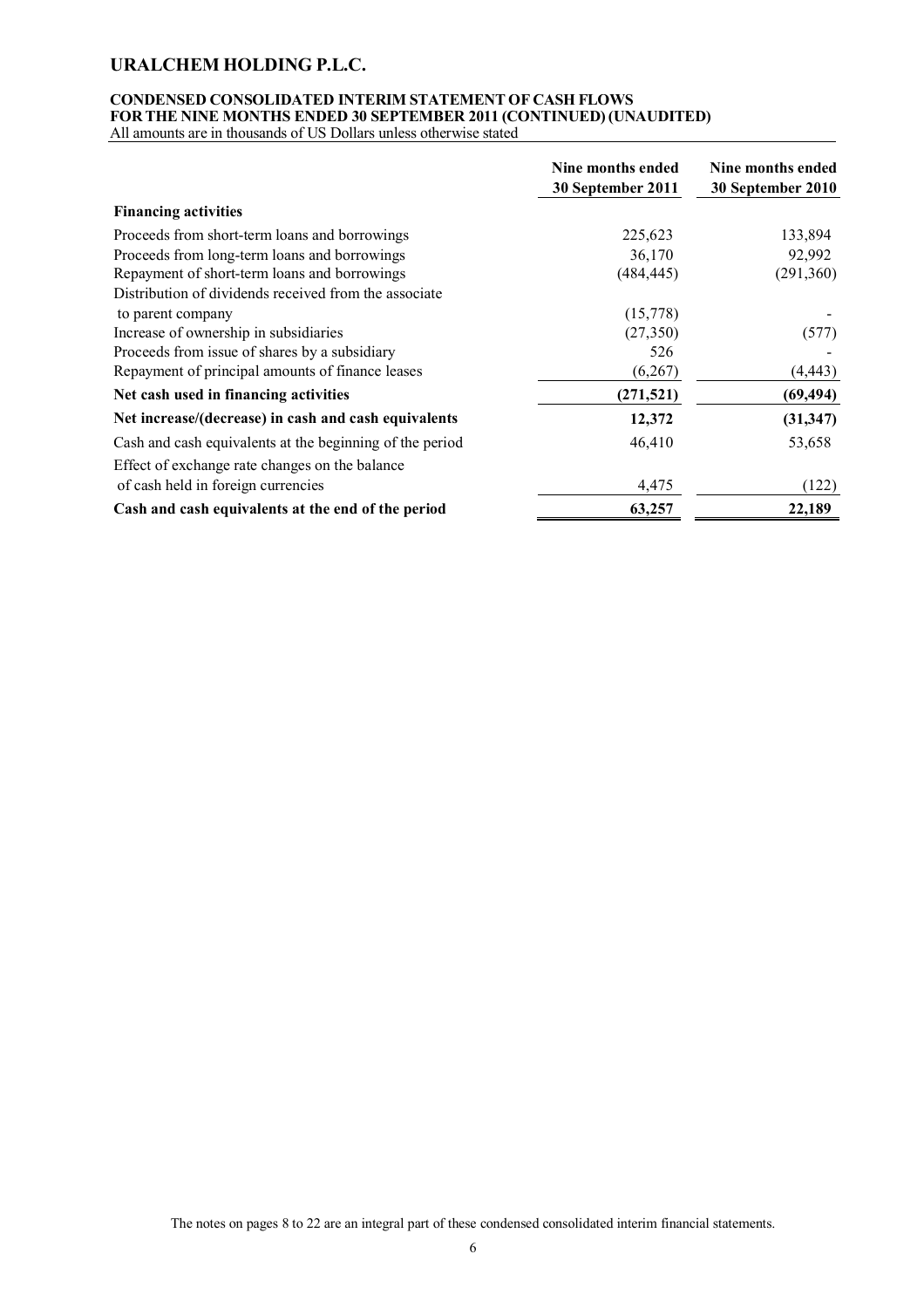# **CONDENSED CONSOLIDATED INTERIM STATEMENT OF CASH FLOWS FOR THE NINE MONTHS ENDED 30 SEPTEMBER 2011 (CONTINUED) (UNAUDITED)**

All amounts are in thousands of US Dollars unless otherwise stated

|                                                          | Nine months ended<br>30 September 2011 | Nine months ended<br>30 September 2010 |
|----------------------------------------------------------|----------------------------------------|----------------------------------------|
| <b>Financing activities</b>                              |                                        |                                        |
| Proceeds from short-term loans and borrowings            | 225,623                                | 133,894                                |
| Proceeds from long-term loans and borrowings             | 36,170                                 | 92,992                                 |
| Repayment of short-term loans and borrowings             | (484,445)                              | (291, 360)                             |
| Distribution of dividends received from the associate    |                                        |                                        |
| to parent company                                        | (15,778)                               |                                        |
| Increase of ownership in subsidiaries                    | (27, 350)                              | (577)                                  |
| Proceeds from issue of shares by a subsidiary            | 526                                    |                                        |
| Repayment of principal amounts of finance leases         | (6,267)                                | (4, 443)                               |
| Net cash used in financing activities                    | (271, 521)                             | (69, 494)                              |
| Net increase/(decrease) in cash and cash equivalents     | 12,372                                 | (31, 347)                              |
| Cash and cash equivalents at the beginning of the period | 46,410                                 | 53,658                                 |
| Effect of exchange rate changes on the balance           |                                        |                                        |
| of cash held in foreign currencies                       | 4,475                                  | (122)                                  |
| Cash and cash equivalents at the end of the period       | 63,257                                 | 22,189                                 |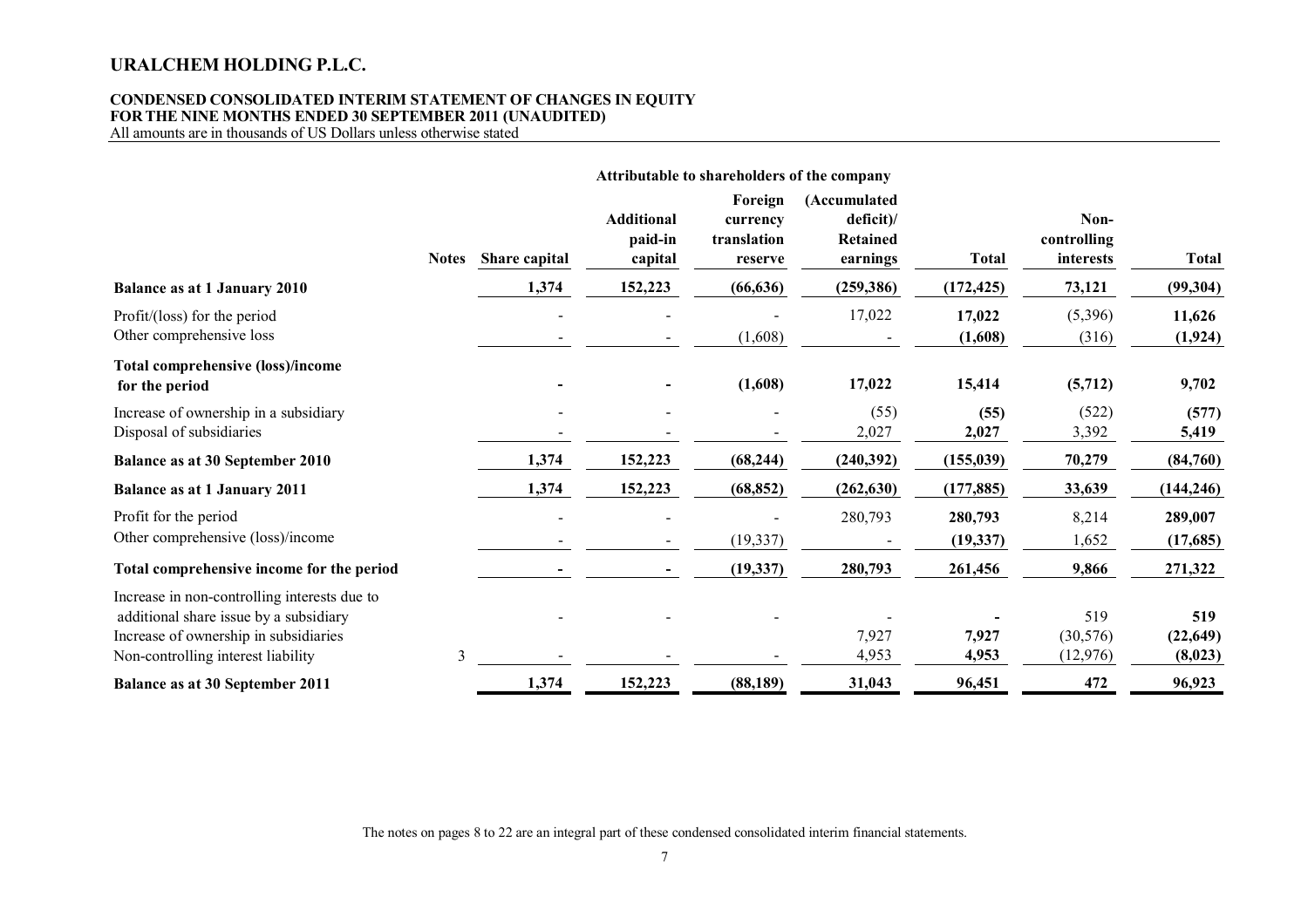#### **CONDENSED CONSOLIDATED INTERIM STATEMENT OF CHANGES IN EQUITY FOR THE NINE MONTHS ENDED 30 SEPTEMBER 2011 (UNAUDITED)**

All amounts are in thousands of US Dollars unless otherwise stated

|                                                                                                                                                                       |              |               |                                         |                                               | Attributable to shareholders of the company     |                      |                                  |                             |
|-----------------------------------------------------------------------------------------------------------------------------------------------------------------------|--------------|---------------|-----------------------------------------|-----------------------------------------------|-------------------------------------------------|----------------------|----------------------------------|-----------------------------|
|                                                                                                                                                                       | <b>Notes</b> | Share capital | <b>Additional</b><br>paid-in<br>capital | Foreign<br>currency<br>translation<br>reserve | (Accumulated<br>deficit<br>Retained<br>earnings | <b>Total</b>         | Non-<br>controlling<br>interests | <b>Total</b>                |
| <b>Balance as at 1 January 2010</b>                                                                                                                                   |              | 1,374         | 152,223                                 | (66, 636)                                     | (259, 386)                                      | (172, 425)           | 73,121                           | (99, 304)                   |
| Profit/(loss) for the period<br>Other comprehensive loss                                                                                                              |              |               |                                         | (1,608)                                       | 17,022                                          | 17,022<br>(1,608)    | (5,396)<br>(316)                 | 11,626<br>(1, 924)          |
| <b>Total comprehensive (loss)/income</b><br>for the period                                                                                                            |              |               |                                         | (1,608)                                       | 17,022                                          | 15,414               | (5,712)                          | 9,702                       |
| Increase of ownership in a subsidiary<br>Disposal of subsidiaries                                                                                                     |              |               |                                         |                                               | (55)<br>2,027                                   | (55)<br>2,027        | (522)<br>3,392                   | (577)<br>5,419              |
| Balance as at 30 September 2010                                                                                                                                       |              | 1,374         | 152,223                                 | (68, 244)                                     | (240, 392)                                      | (155, 039)           | 70,279                           | (84,760)                    |
| <b>Balance as at 1 January 2011</b>                                                                                                                                   |              | 1,374         | 152,223                                 | (68, 852)                                     | (262, 630)                                      | (177, 885)           | 33,639                           | (144, 246)                  |
| Profit for the period<br>Other comprehensive (loss)/income                                                                                                            |              |               |                                         | (19, 337)                                     | 280,793                                         | 280,793<br>(19, 337) | 8,214<br>1,652                   | 289,007<br>(17,685)         |
| Total comprehensive income for the period                                                                                                                             |              |               |                                         | (19, 337)                                     | 280,793                                         | 261,456              | 9,866                            | 271,322                     |
| Increase in non-controlling interests due to<br>additional share issue by a subsidiary<br>Increase of ownership in subsidiaries<br>Non-controlling interest liability | 3            |               |                                         |                                               | 7,927<br>4,953                                  | 7,927<br>4,953       | 519<br>(30, 576)<br>(12, 976)    | 519<br>(22, 649)<br>(8,023) |
| <b>Balance as at 30 September 2011</b>                                                                                                                                |              | 1,374         | 152,223                                 | (88, 189)                                     | 31,043                                          | 96,451               | 472                              | 96,923                      |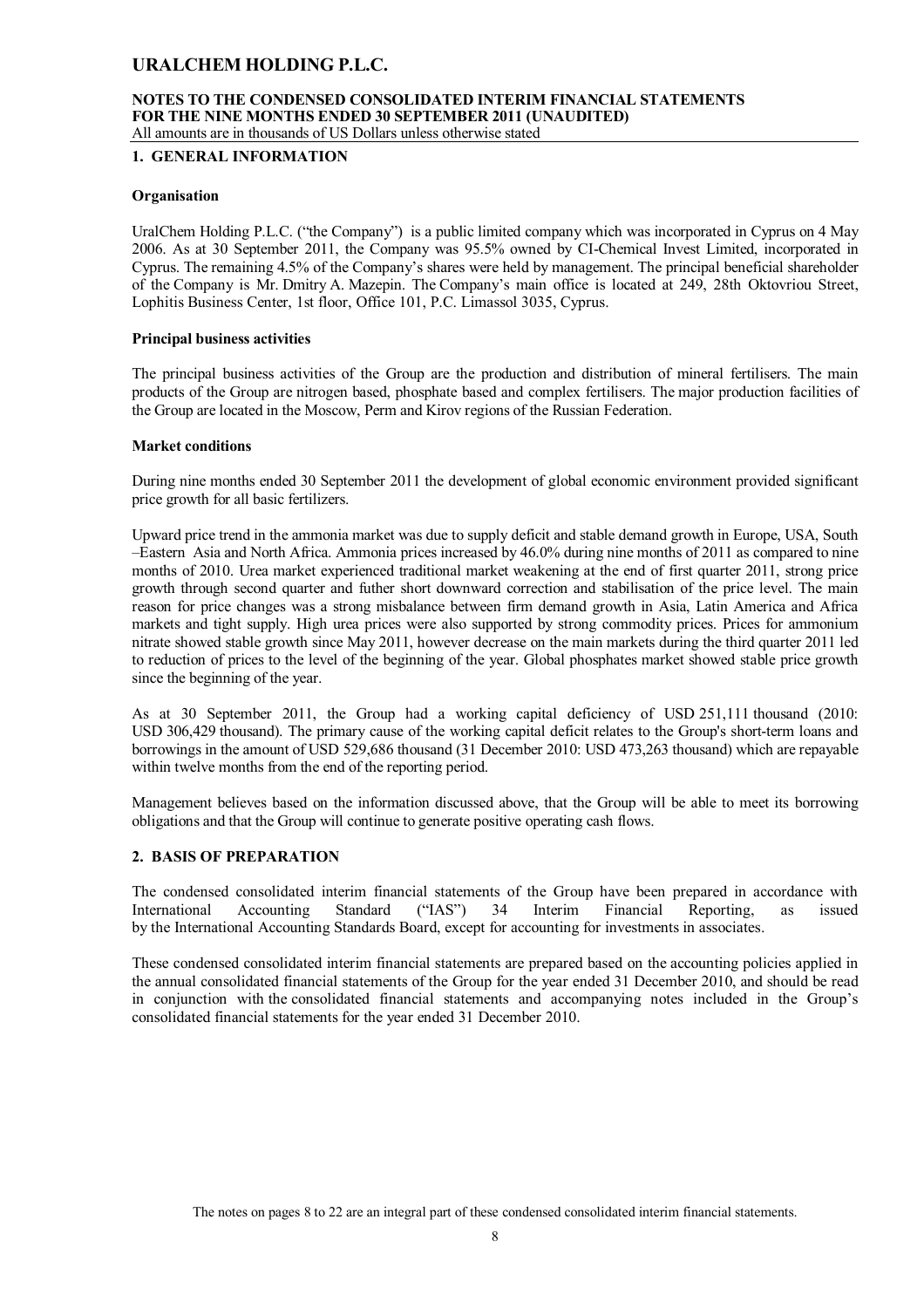### **NOTES TO THE CONDENSED CONSOLIDATED INTERIM FINANCIAL STATEMENTS FOR THE NINE MONTHS ENDED 30 SEPTEMBER 2011 (UNAUDITED)** All amounts are in thousands of US Dollars unless otherwise stated

**1. GENERAL INFORMATION**

### **Organisation**

UralChem Holding P.L.C. ("the Company") is a public limited company which was incorporated in Cyprus on 4 May 2006. As at 30 September 2011, the Company was 95.5% owned by CI-Chemical Invest Limited, incorporated in Cyprus. The remaining 4.5% of the Company's shares were held by management. The principal beneficial shareholder of the Company is Mr. Dmitry A. Mazepin. The Company's main office is located at 249, 28th Oktovriou Street, Lophitis Business Center, 1st floor, Office 101, P.C. Limassol 3035, Cyprus.

### **Principal business activities**

The principal business activities of the Group are the production and distribution of mineral fertilisers. The main products of the Group are nitrogen based, phosphate based and complex fertilisers. The major production facilities of the Group are located in the Moscow, Perm and Kirov regions of the Russian Federation.

#### **Market conditions**

During nine months ended 30 September 2011 the development of global economic environment provided significant price growth for all basic fertilizers.

Upward price trend in the ammonia market was due to supply deficit and stable demand growth in Europe, USA, South –Eastern Asia and North Africa. Ammonia prices increased by 46.0% during nine months of 2011 as compared to nine months of 2010. Urea market experienced traditional market weakening at the end of first quarter 2011, strong price growth through second quarter and futher short downward correction and stabilisation of the price level. The main reason for price changes was a strong misbalance between firm demand growth in Asia, Latin America and Africa markets and tight supply. High urea prices were also supported by strong commodity prices. Prices for ammonium nitrate showed stable growth since May 2011, however decrease on the main markets during the third quarter 2011 led to reduction of prices to the level of the beginning of the year. Global phosphates market showed stable price growth since the beginning of the year.

As at 30 September 2011, the Group had a working capital deficiency of USD 251,111 thousand (2010: USD 306,429 thousand). The primary cause of the working capital deficit relates to the Group's short-term loans and borrowings in the amount of USD 529,686 thousand (31 December 2010: USD 473,263 thousand) which are repayable within twelve months from the end of the reporting period.

Management believes based on the information discussed above, that the Group will be able to meet its borrowing obligations and that the Group will continue to generate positive operating cash flows.

### **2. BASIS OF PREPARATION**

The condensed consolidated interim financial statements of the Group have been prepared in accordance with International Accounting Standard ("IAS") 34 Interim Financial Reporting, as issued by the International Accounting Standards Board, except for accounting for investments in associates.

These condensed consolidated interim financial statements are prepared based on the accounting policies applied in the annual consolidated financial statements of the Group for the year ended 31 December 2010, and should be read in conjunction with the consolidated financial statements and accompanying notes included in the Group's consolidated financial statements for the year ended 31 December 2010.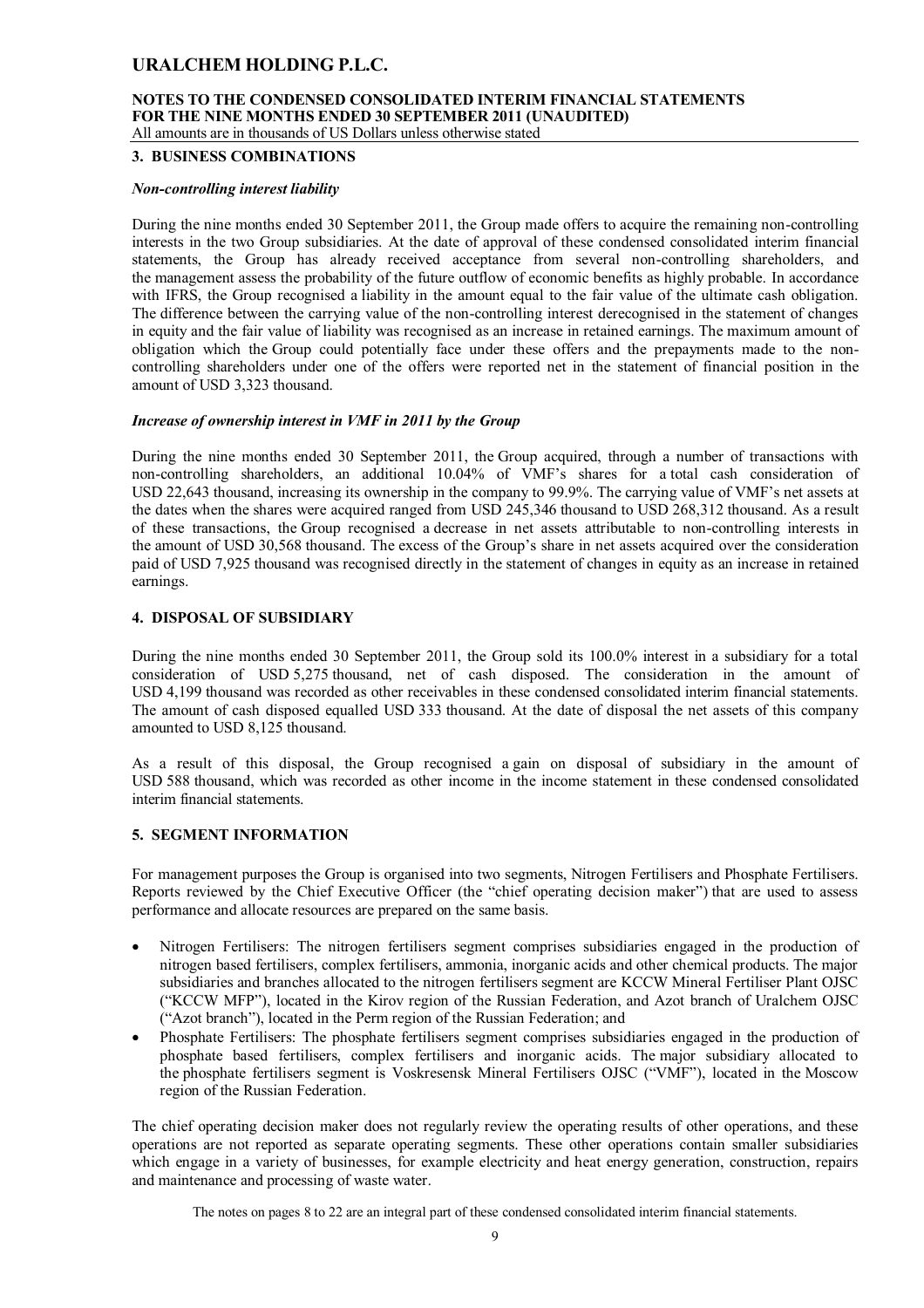# **NOTES TO THE CONDENSED CONSOLIDATED INTERIM FINANCIAL STATEMENTS FOR THE NINE MONTHS ENDED 30 SEPTEMBER 2011 (UNAUDITED)**

All amounts are in thousands of US Dollars unless otherwise stated

#### **3. BUSINESS COMBINATIONS**

#### *Non-controlling interest liability*

During the nine months ended 30 September 2011, the Group made offers to acquire the remaining non-controlling interests in the two Group subsidiaries. At the date of approval of these condensed consolidated interim financial statements, the Group has already received acceptance from several non-controlling shareholders, and the management assess the probability of the future outflow of economic benefits as highly probable. In accordance with IFRS, the Group recognised a liability in the amount equal to the fair value of the ultimate cash obligation. The difference between the carrying value of the non-controlling interest derecognised in the statement of changes in equity and the fair value of liability was recognised as an increase in retained earnings. The maximum amount of obligation which the Group could potentially face under these offers and the prepayments made to the noncontrolling shareholders under one of the offers were reported net in the statement of financial position in the amount of USD 3,323 thousand.

### *Increase of ownership interest in VMF in 2011 by the Group*

During the nine months ended 30 September 2011, the Group acquired, through a number of transactions with non-controlling shareholders, an additional 10.04% of VMF's shares for a total cash consideration of USD 22,643 thousand, increasing its ownership in the company to 99.9%. The carrying value of VMF's net assets at the dates when the shares were acquired ranged from USD 245,346 thousand to USD 268,312 thousand. As a result of these transactions, the Group recognised a decrease in net assets attributable to non-controlling interests in the amount of USD 30,568 thousand. The excess of the Group's share in net assets acquired over the consideration paid of USD 7,925 thousand was recognised directly in the statement of changes in equity as an increase in retained earnings.

#### **4. DISPOSAL OF SUBSIDIARY**

During the nine months ended 30 September 2011, the Group sold its 100.0% interest in a subsidiary for a total consideration of USD 5,275 thousand, net of cash disposed. The consideration in the amount of USD 4,199 thousand was recorded as other receivables in these condensed consolidated interim financial statements. The amount of cash disposed equalled USD 333 thousand. At the date of disposal the net assets of this company amounted to USD 8,125 thousand.

As a result of this disposal, the Group recognised a gain on disposal of subsidiary in the amount of USD 588 thousand, which was recorded as other income in the income statement in these condensed consolidated interim financial statements.

### **5. SEGMENT INFORMATION**

For management purposes the Group is organised into two segments, Nitrogen Fertilisers and Phosphate Fertilisers. Reports reviewed by the Chief Executive Officer (the "chief operating decision maker") that are used to assess performance and allocate resources are prepared on the same basis.

- Nitrogen Fertilisers: The nitrogen fertilisers segment comprises subsidiaries engaged in the production of nitrogen based fertilisers, complex fertilisers, ammonia, inorganic acids and other chemical products. The major subsidiaries and branches allocated to the nitrogen fertilisers segment are KCCW Mineral Fertiliser Plant OJSC ("KCCW MFP"), located in the Kirov region of the Russian Federation, and Azot branch of Uralchem OJSC ("Azot branch"), located in the Perm region of the Russian Federation; and
- Phosphate Fertilisers: The phosphate fertilisers segment comprises subsidiaries engaged in the production of phosphate based fertilisers, complex fertilisers and inorganic acids. The major subsidiary allocated to the phosphate fertilisers segment is Voskresensk Mineral Fertilisers OJSC ("VMF"), located in the Moscow region of the Russian Federation.

The chief operating decision maker does not regularly review the operating results of other operations, and these operations are not reported as separate operating segments. These other operations contain smaller subsidiaries which engage in a variety of businesses, for example electricity and heat energy generation, construction, repairs and maintenance and processing of waste water.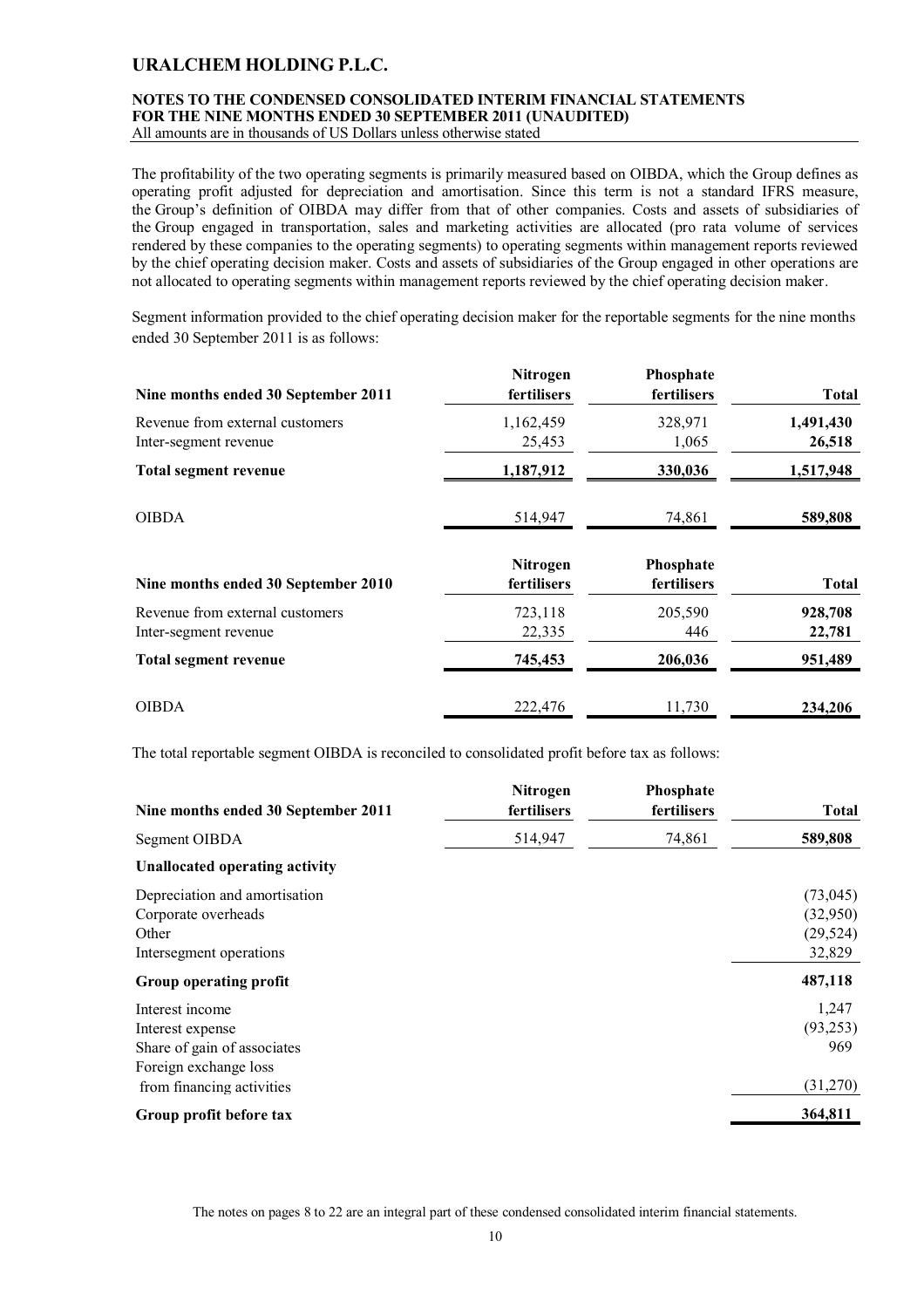# **NOTES TO THE CONDENSED CONSOLIDATED INTERIM FINANCIAL STATEMENTS FOR THE NINE MONTHS ENDED 30 SEPTEMBER 2011 (UNAUDITED)**

All amounts are in thousands of US Dollars unless otherwise stated

The profitability of the two operating segments is primarily measured based on OIBDA, which the Group defines as operating profit adjusted for depreciation and amortisation. Since this term is not a standard IFRS measure, the Group's definition of OIBDA may differ from that of other companies. Costs and assets of subsidiaries of the Group engaged in transportation, sales and marketing activities are allocated (pro rata volume of services rendered by these companies to the operating segments) to operating segments within management reports reviewed by the chief operating decision maker. Costs and assets of subsidiaries of the Group engaged in other operations are not allocated to operating segments within management reports reviewed by the chief operating decision maker.

Segment information provided to the chief operating decision maker for the reportable segments for the nine months ended 30 September 2011 is as follows:

| Nine months ended 30 September 2011 | Nitrogen<br>fertilisers | Phosphate<br>fertilisers | <b>Total</b> |
|-------------------------------------|-------------------------|--------------------------|--------------|
| Revenue from external customers     | 1,162,459               | 328,971                  | 1,491,430    |
| Inter-segment revenue               | 25,453                  | 1,065                    | 26,518       |
| <b>Total segment revenue</b>        | 1,187,912               | 330,036                  | 1,517,948    |
| <b>OIBDA</b>                        | 514,947                 | 74,861                   | 589,808      |
| Nine months ended 30 September 2010 | Nitrogen<br>fertilisers | Phosphate<br>fertilisers | <b>Total</b> |
| Revenue from external customers     | 723,118                 | 205,590                  | 928,708      |
| Inter-segment revenue               | 22,335                  | 446                      | 22,781       |
| Total segment revenue               | 745,453                 | 206,036                  | 951,489      |
| <b>OIBDA</b>                        | 222,476                 | 11,730                   | 234,206      |

The total reportable segment OIBDA is reconciled to consolidated profit before tax as follows:

| Nine months ended 30 September 2011                                                         | <b>Nitrogen</b><br>fertilisers | Phosphate<br>fertilisers | <b>Total</b>                                 |
|---------------------------------------------------------------------------------------------|--------------------------------|--------------------------|----------------------------------------------|
| Segment OIBDA                                                                               | 514,947                        | 74,861                   | 589,808                                      |
| <b>Unallocated operating activity</b>                                                       |                                |                          |                                              |
| Depreciation and amortisation<br>Corporate overheads<br>Other<br>Intersegment operations    |                                |                          | (73, 045)<br>(32,950)<br>(29, 524)<br>32,829 |
| Group operating profit                                                                      |                                |                          | 487,118                                      |
| Interest income<br>Interest expense<br>Share of gain of associates<br>Foreign exchange loss |                                |                          | 1,247<br>(93, 253)<br>969<br>(31,270)        |
| from financing activities<br>Group profit before tax                                        |                                |                          | 364,811                                      |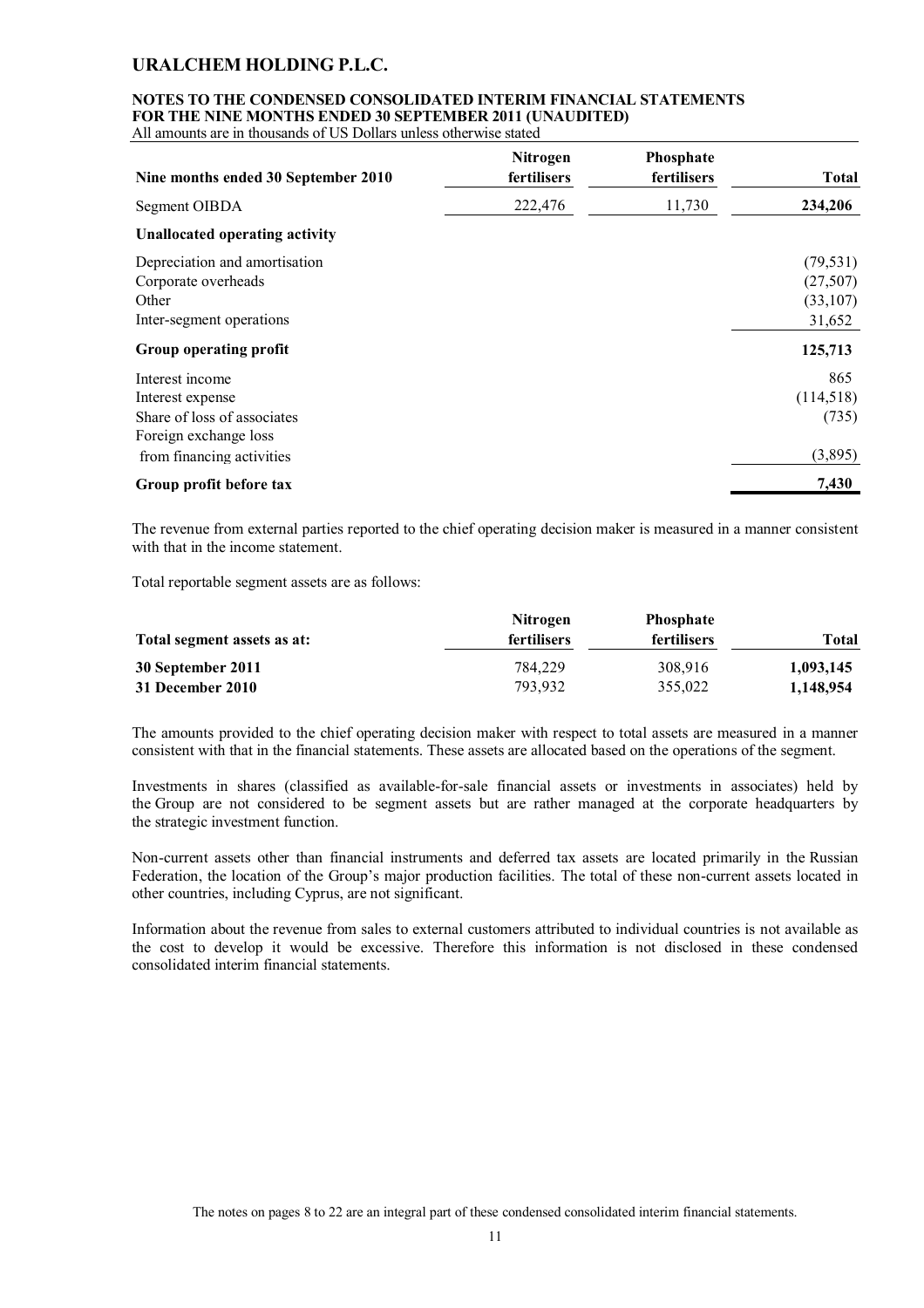### **NOTES TO THE CONDENSED CONSOLIDATED INTERIM FINANCIAL STATEMENTS FOR THE NINE MONTHS ENDED 30 SEPTEMBER 2011 (UNAUDITED)**

All amounts are in thousands of US Dollars unless otherwise stated

| Nine months ended 30 September 2010                                                                                      | Nitrogen<br>fertilisers | Phosphate<br>fertilisers | <b>Total</b>                                |
|--------------------------------------------------------------------------------------------------------------------------|-------------------------|--------------------------|---------------------------------------------|
| Segment OIBDA                                                                                                            | 222,476                 | 11,730                   | 234,206                                     |
| <b>Unallocated operating activity</b>                                                                                    |                         |                          |                                             |
| Depreciation and amortisation<br>Corporate overheads<br>Other<br>Inter-segment operations                                |                         |                          | (79, 531)<br>(27,507)<br>(33,107)<br>31,652 |
| Group operating profit                                                                                                   |                         |                          | 125,713                                     |
| Interest income<br>Interest expense<br>Share of loss of associates<br>Foreign exchange loss<br>from financing activities |                         |                          | 865<br>(114,518)<br>(735)<br>(3,895)        |
| Group profit before tax                                                                                                  |                         |                          | 7,430                                       |

The revenue from external parties reported to the chief operating decision maker is measured in a manner consistent with that in the income statement.

Total reportable segment assets are as follows:

| Total segment assets as at: | <b>Nitrogen</b><br><b>fertilisers</b> | <b>Phosphate</b><br>fertilisers | Total     |
|-----------------------------|---------------------------------------|---------------------------------|-----------|
| 30 September 2011           | 784.229                               | 308.916                         | 1,093,145 |
| 31 December 2010            | 793.932                               | 355,022                         | 1,148,954 |

The amounts provided to the chief operating decision maker with respect to total assets are measured in a manner consistent with that in the financial statements. These assets are allocated based on the operations of the segment.

Investments in shares (classified as available-for-sale financial assets or investments in associates) held by the Group are not considered to be segment assets but are rather managed at the corporate headquarters by the strategic investment function.

Non-current assets other than financial instruments and deferred tax assets are located primarily in the Russian Federation, the location of the Group's major production facilities. The total of these non-current assets located in other countries, including Cyprus, are not significant.

Information about the revenue from sales to external customers attributed to individual countries is not available as the cost to develop it would be excessive. Therefore this information is not disclosed in these condensed consolidated interim financial statements.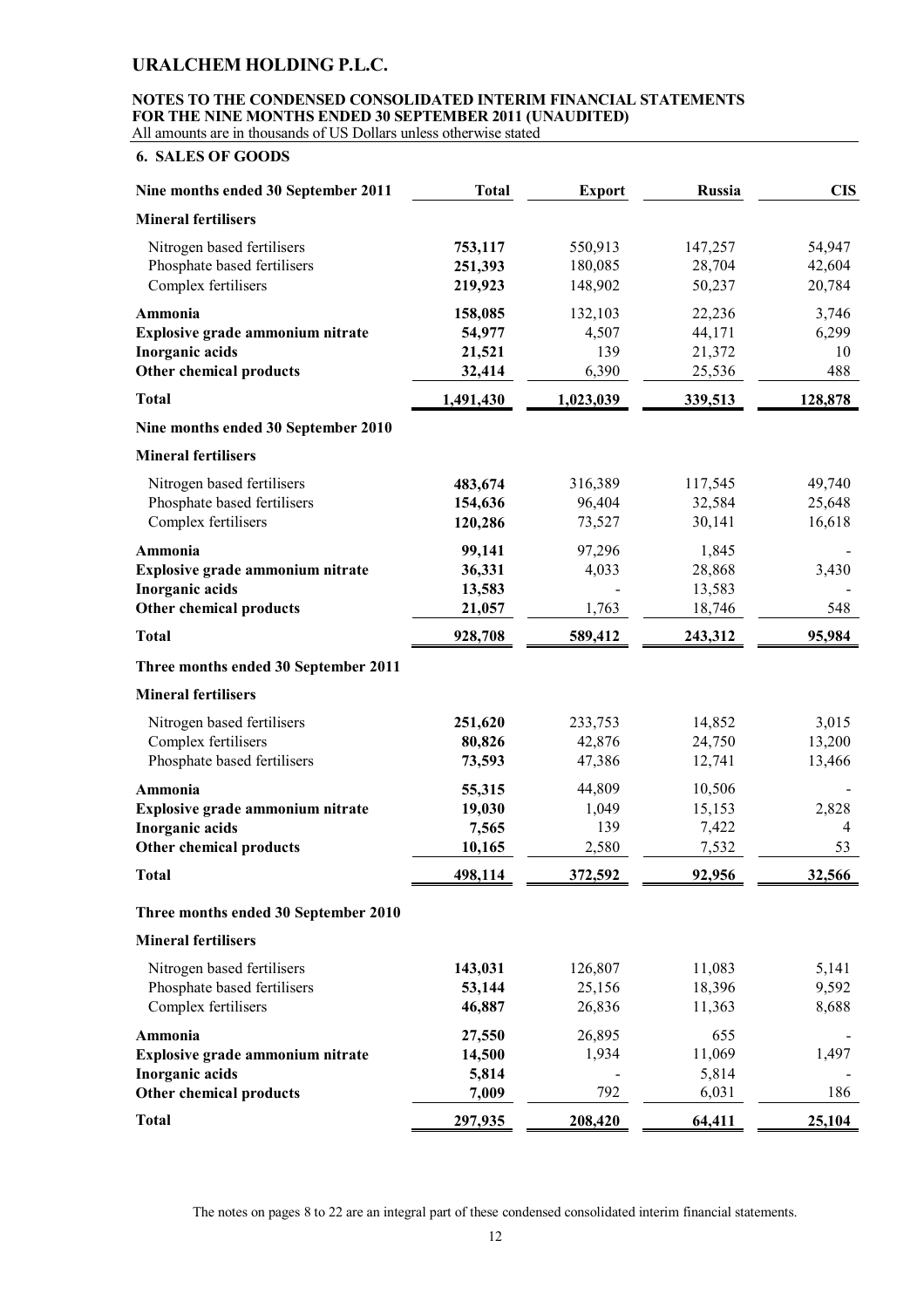# **NOTES TO THE CONDENSED CONSOLIDATED INTERIM FINANCIAL STATEMENTS FOR THE NINE MONTHS ENDED 30 SEPTEMBER 2011 (UNAUDITED)**

All amounts are in thousands of US Dollars unless otherwise stated

### **6. SALES OF GOODS**

| Nine months ended 30 September 2011                                                       | <b>Total</b>                          | <b>Export</b>                    | Russia                               | <b>CIS</b>                  |
|-------------------------------------------------------------------------------------------|---------------------------------------|----------------------------------|--------------------------------------|-----------------------------|
| <b>Mineral fertilisers</b>                                                                |                                       |                                  |                                      |                             |
| Nitrogen based fertilisers<br>Phosphate based fertilisers<br>Complex fertilisers          | 753,117<br>251,393<br>219,923         | 550,913<br>180,085<br>148,902    | 147,257<br>28,704<br>50,237          | 54,947<br>42,604<br>20,784  |
| Ammonia<br>Explosive grade ammonium nitrate<br>Inorganic acids<br>Other chemical products | 158,085<br>54,977<br>21,521<br>32,414 | 132,103<br>4,507<br>139<br>6,390 | 22,236<br>44,171<br>21,372<br>25,536 | 3,746<br>6,299<br>10<br>488 |
| <b>Total</b>                                                                              | 1,491,430                             | 1,023,039                        | 339,513                              | 128,878                     |
| Nine months ended 30 September 2010                                                       |                                       |                                  |                                      |                             |
| <b>Mineral fertilisers</b>                                                                |                                       |                                  |                                      |                             |
| Nitrogen based fertilisers<br>Phosphate based fertilisers<br>Complex fertilisers          | 483,674<br>154,636<br>120,286         | 316,389<br>96,404<br>73,527      | 117,545<br>32,584<br>30,141          | 49,740<br>25,648<br>16,618  |
| Ammonia<br>Explosive grade ammonium nitrate<br>Inorganic acids<br>Other chemical products | 99,141<br>36,331<br>13,583<br>21,057  | 97,296<br>4,033<br>1,763         | 1,845<br>28,868<br>13,583<br>18,746  | 3,430<br>548                |
| <b>Total</b>                                                                              | 928,708                               | 589,412                          | 243,312                              | 95,984                      |
| Three months ended 30 September 2011                                                      |                                       |                                  |                                      |                             |
| <b>Mineral fertilisers</b>                                                                |                                       |                                  |                                      |                             |
| Nitrogen based fertilisers<br>Complex fertilisers<br>Phosphate based fertilisers          | 251,620<br>80,826<br>73,593           | 233,753<br>42,876<br>47,386      | 14,852<br>24,750<br>12,741           | 3,015<br>13,200<br>13,466   |
| Ammonia<br>Explosive grade ammonium nitrate<br>Inorganic acids<br>Other chemical products | 55,315<br>19,030<br>7,565<br>10,165   | 44,809<br>1,049<br>139<br>2,580  | 10,506<br>15,153<br>7,422<br>7,532   | 2,828<br>4<br>53            |
| <b>Total</b>                                                                              | 498,114                               | 372,592                          | 92,956                               | 32,566                      |
| Three months ended 30 September 2010                                                      |                                       |                                  |                                      |                             |
| <b>Mineral fertilisers</b>                                                                |                                       |                                  |                                      |                             |
| Nitrogen based fertilisers<br>Phosphate based fertilisers<br>Complex fertilisers          | 143,031<br>53,144<br>46,887           | 126,807<br>25,156<br>26,836      | 11,083<br>18,396<br>11,363           | 5,141<br>9,592<br>8,688     |
| Ammonia<br>Explosive grade ammonium nitrate<br>Inorganic acids                            | 27,550<br>14,500<br>5,814             | 26,895<br>1,934                  | 655<br>11,069<br>5,814               | 1,497                       |
| Other chemical products                                                                   | 7,009                                 | 792                              | 6,031                                | 186                         |
| <b>Total</b>                                                                              | 297,935                               | 208,420                          | 64,411                               | 25,104                      |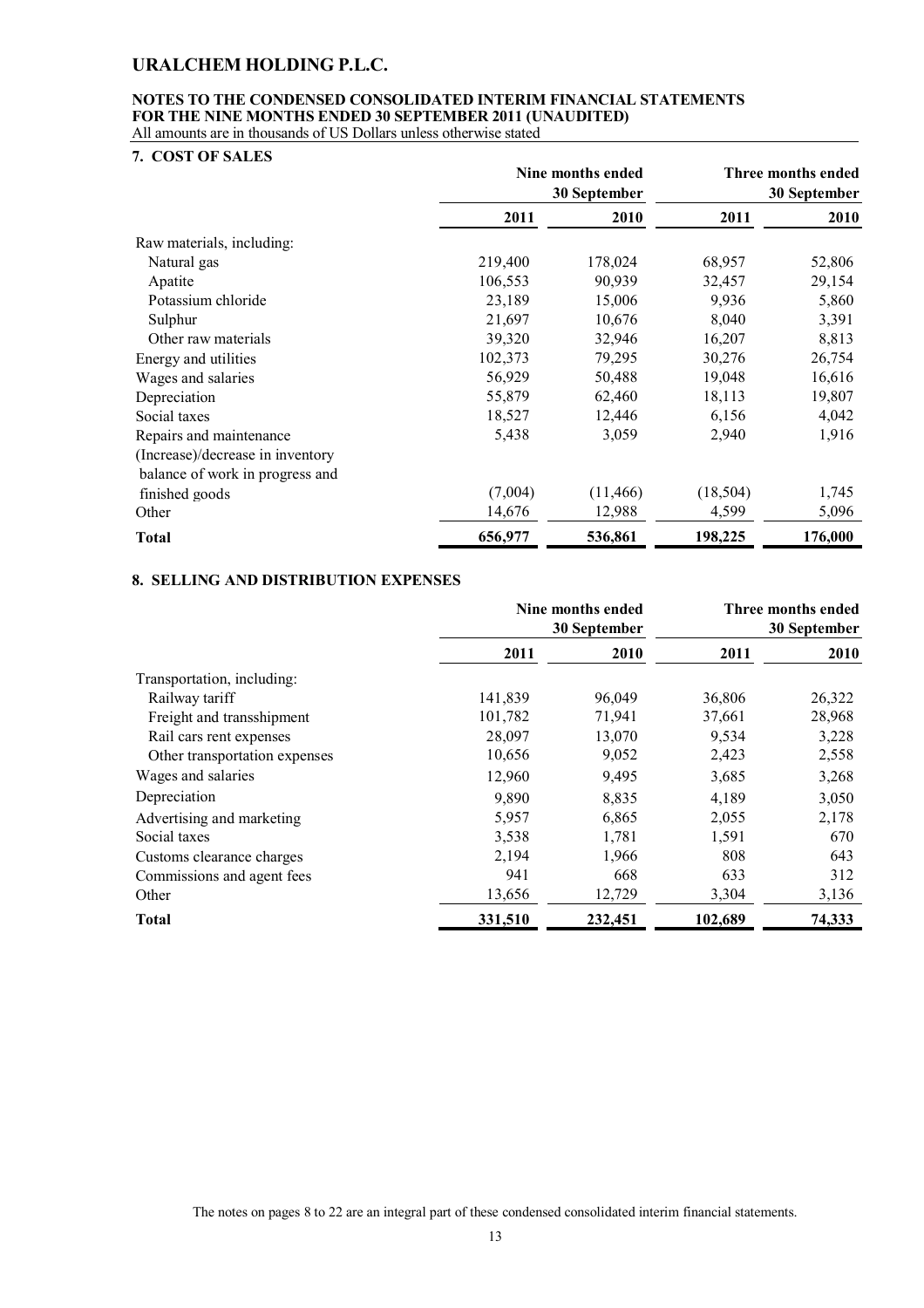#### **NOTES TO THE CONDENSED CONSOLIDATED INTERIM FINANCIAL STATEMENTS FOR THE NINE MONTHS ENDED 30 SEPTEMBER 2011 (UNAUDITED)** All amounts are in thousands of US Dollars unless otherwise stated

**7. COST OF SALES**

| 7. CUƏTUF ƏALEƏ                  |         |                   |              |                    |
|----------------------------------|---------|-------------------|--------------|--------------------|
|                                  |         | Nine months ended |              | Three months ended |
|                                  |         | 30 September      | 30 September |                    |
|                                  | 2011    | 2010              | 2011         | 2010               |
| Raw materials, including:        |         |                   |              |                    |
| Natural gas                      | 219,400 | 178,024           | 68,957       | 52,806             |
| Apatite                          | 106,553 | 90,939            | 32,457       | 29,154             |
| Potassium chloride               | 23,189  | 15,006            | 9,936        | 5,860              |
| Sulphur                          | 21,697  | 10,676            | 8,040        | 3,391              |
| Other raw materials              | 39,320  | 32,946            | 16,207       | 8,813              |
| Energy and utilities             | 102,373 | 79,295            | 30,276       | 26,754             |
| Wages and salaries               | 56,929  | 50,488            | 19,048       | 16,616             |
| Depreciation                     | 55,879  | 62,460            | 18,113       | 19,807             |
| Social taxes                     | 18,527  | 12,446            | 6,156        | 4,042              |
| Repairs and maintenance          | 5,438   | 3,059             | 2,940        | 1,916              |
| (Increase)/decrease in inventory |         |                   |              |                    |
| balance of work in progress and  |         |                   |              |                    |
| finished goods                   | (7,004) | (11, 466)         | (18, 504)    | 1,745              |
| Other                            | 14,676  | 12,988            | 4,599        | 5,096              |
| <b>Total</b>                     | 656,977 | 536,861           | 198,225      | 176,000            |

### **8. SELLING AND DISTRIBUTION EXPENSES**

|                               | Nine months ended<br>30 September |         | Three months ended<br>30 September |        |
|-------------------------------|-----------------------------------|---------|------------------------------------|--------|
|                               | 2011                              | 2010    | 2011                               | 2010   |
| Transportation, including:    |                                   |         |                                    |        |
| Railway tariff                | 141,839                           | 96,049  | 36,806                             | 26,322 |
| Freight and transshipment     | 101,782                           | 71,941  | 37,661                             | 28,968 |
| Rail cars rent expenses       | 28,097                            | 13,070  | 9,534                              | 3,228  |
| Other transportation expenses | 10,656                            | 9,052   | 2,423                              | 2,558  |
| Wages and salaries            | 12,960                            | 9,495   | 3,685                              | 3,268  |
| Depreciation                  | 9,890                             | 8,835   | 4,189                              | 3,050  |
| Advertising and marketing     | 5,957                             | 6,865   | 2,055                              | 2,178  |
| Social taxes                  | 3,538                             | 1,781   | 1,591                              | 670    |
| Customs clearance charges     | 2,194                             | 1,966   | 808                                | 643    |
| Commissions and agent fees    | 941                               | 668     | 633                                | 312    |
| Other                         | 13,656                            | 12,729  | 3,304                              | 3,136  |
| Total                         | 331,510                           | 232,451 | 102,689                            | 74,333 |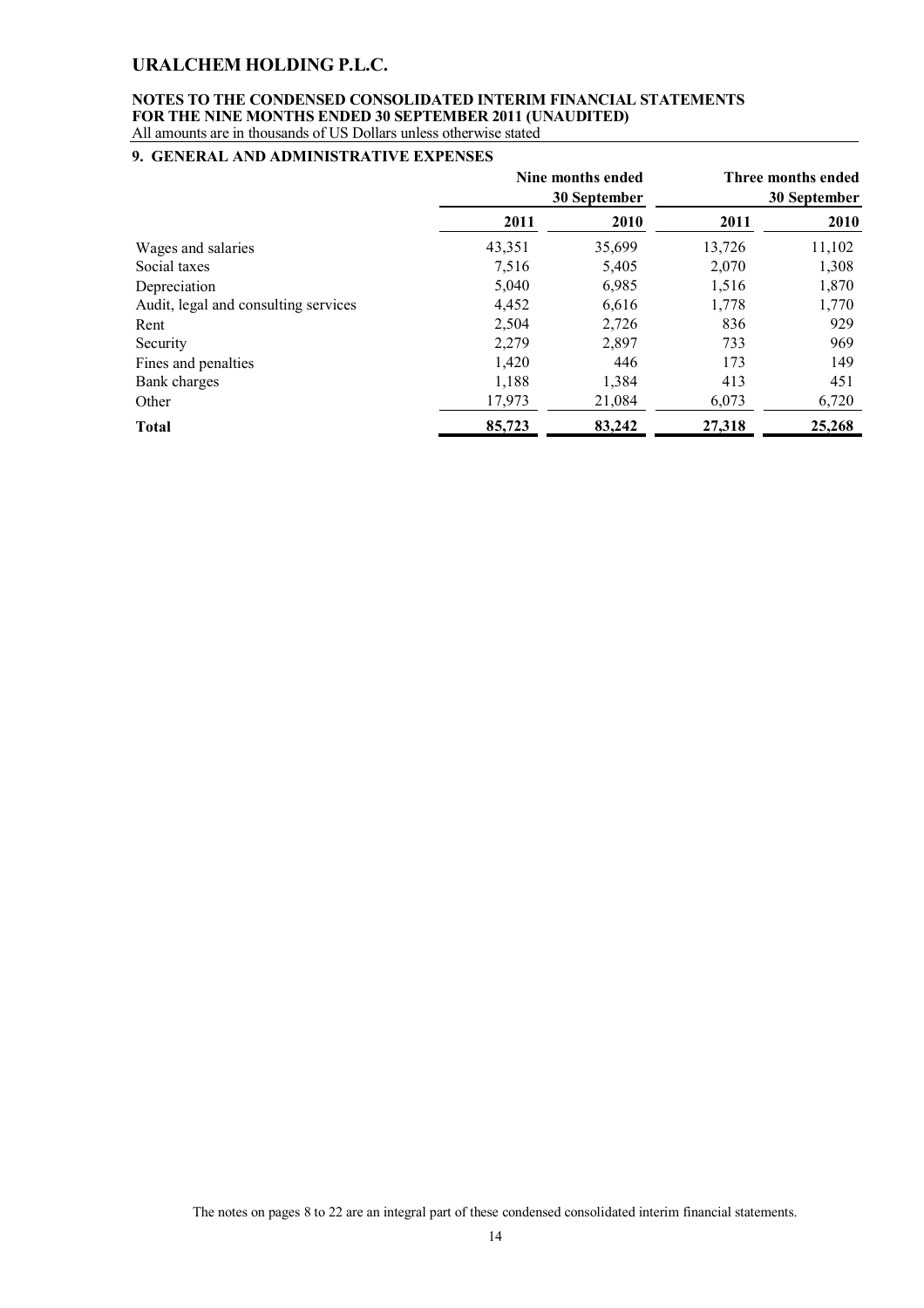#### **NOTES TO THE CONDENSED CONSOLIDATED INTERIM FINANCIAL STATEMENTS FOR THE NINE MONTHS ENDED 30 SEPTEMBER 2011 (UNAUDITED)** All amounts are in thousands of US Dollars unless otherwise stated

### **9. GENERAL AND ADMINISTRATIVE EXPENSES**

|                                      | Nine months ended<br>30 September |        | Three months ended<br>30 September |        |
|--------------------------------------|-----------------------------------|--------|------------------------------------|--------|
|                                      | 2011                              | 2010   | 2011                               | 2010   |
| Wages and salaries                   | 43,351                            | 35,699 | 13,726                             | 11,102 |
| Social taxes                         | 7,516                             | 5,405  | 2,070                              | 1,308  |
| Depreciation                         | 5,040                             | 6,985  | 1,516                              | 1,870  |
| Audit, legal and consulting services | 4,452                             | 6,616  | 1,778                              | 1,770  |
| Rent                                 | 2,504                             | 2,726  | 836                                | 929    |
| Security                             | 2,279                             | 2,897  | 733                                | 969    |
| Fines and penalties                  | 1,420                             | 446    | 173                                | 149    |
| Bank charges                         | 1,188                             | 1,384  | 413                                | 451    |
| Other                                | 17,973                            | 21,084 | 6,073                              | 6,720  |
| <b>Total</b>                         | 85,723                            | 83,242 | 27,318                             | 25,268 |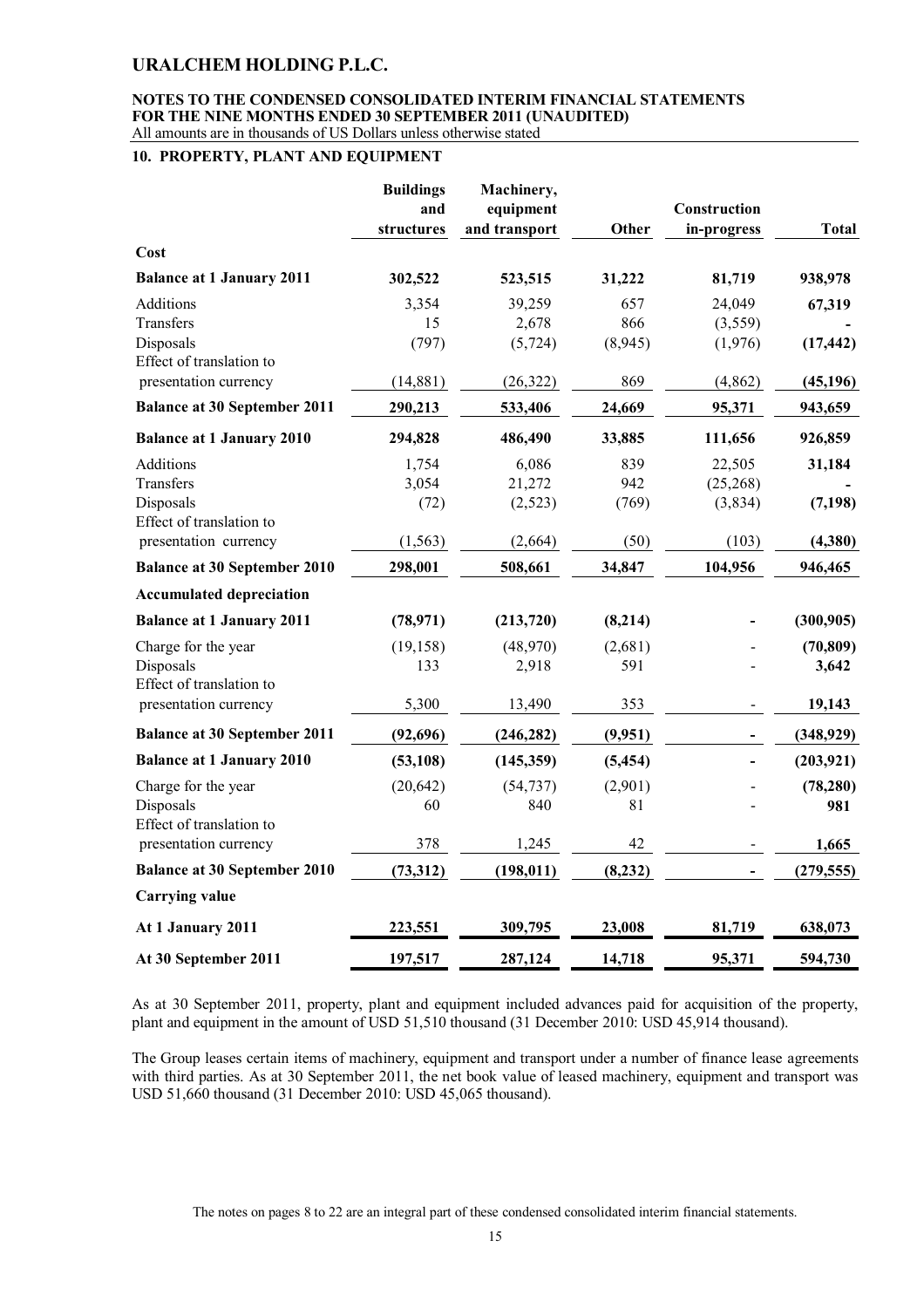#### **NOTES TO THE CONDENSED CONSOLIDATED INTERIM FINANCIAL STATEMENTS FOR THE NINE MONTHS ENDED 30 SEPTEMBER 2011 (UNAUDITED)** All amounts are in thousands of US Dollars unless otherwise stated

#### **10. PROPERTY, PLANT AND EQUIPMENT**

|                                       | <b>Buildings</b><br>and<br>structures | Machinery,<br>equipment<br>and transport | Other    | Construction<br>in-progress | <b>Total</b> |
|---------------------------------------|---------------------------------------|------------------------------------------|----------|-----------------------------|--------------|
| Cost                                  |                                       |                                          |          |                             |              |
| <b>Balance at 1 January 2011</b>      | 302,522                               | 523,515                                  | 31,222   | 81,719                      | 938,978      |
| Additions                             | 3,354                                 | 39,259                                   | 657      | 24,049                      | 67,319       |
| Transfers                             | 15                                    | 2,678                                    | 866      | (3,559)                     |              |
| Disposals                             | (797)                                 | (5, 724)                                 | (8,945)  | (1,976)                     | (17, 442)    |
| Effect of translation to              |                                       |                                          |          |                             |              |
| presentation currency                 | (14,881)                              | (26, 322)                                | 869      | (4,862)                     | (45, 196)    |
| <b>Balance at 30 September 2011</b>   | 290,213                               | 533,406                                  | 24,669   | 95,371                      | 943,659      |
| <b>Balance at 1 January 2010</b>      | 294,828                               | 486,490                                  | 33,885   | 111,656                     | 926,859      |
| <b>Additions</b>                      | 1,754                                 | 6,086                                    | 839      | 22,505                      | 31,184       |
| Transfers                             | 3,054                                 | 21,272                                   | 942      | (25, 268)                   |              |
| Disposals<br>Effect of translation to | (72)                                  | (2,523)                                  | (769)    | (3,834)                     | (7, 198)     |
| presentation currency                 | (1, 563)                              | (2,664)                                  | (50)     | (103)                       | (4,380)      |
| <b>Balance at 30 September 2010</b>   | 298,001                               | 508,661                                  | 34,847   | 104,956                     | 946,465      |
| <b>Accumulated depreciation</b>       |                                       |                                          |          |                             |              |
| <b>Balance at 1 January 2011</b>      | (78, 971)                             | (213, 720)                               | (8,214)  |                             | (300, 905)   |
| Charge for the year                   | (19, 158)                             | (48,970)                                 | (2,681)  |                             | (70, 809)    |
| Disposals                             | 133                                   | 2,918                                    | 591      |                             | 3,642        |
| Effect of translation to              |                                       |                                          |          |                             |              |
| presentation currency                 | 5,300                                 | 13,490                                   | 353      |                             | 19,143       |
| <b>Balance at 30 September 2011</b>   | (92, 696)                             | (246, 282)                               | (9,951)  |                             | (348, 929)   |
| <b>Balance at 1 January 2010</b>      | (53, 108)                             | (145, 359)                               | (5, 454) |                             | (203, 921)   |
| Charge for the year                   | (20, 642)                             | (54, 737)                                | (2,901)  |                             | (78, 280)    |
| Disposals                             | 60                                    | 840                                      | 81       |                             | 981          |
| Effect of translation to              |                                       |                                          |          |                             |              |
| presentation currency                 | 378                                   | 1,245                                    | 42       |                             | 1,665        |
| <b>Balance at 30 September 2010</b>   | (73,312)                              | (198, 011)                               | (8, 232) |                             | (279, 555)   |
| <b>Carrying value</b>                 |                                       |                                          |          |                             |              |
| At 1 January 2011                     | 223,551                               | 309,795                                  | 23,008   | 81,719                      | 638,073      |
| At 30 September 2011                  | 197,517                               | 287,124                                  | 14,718   | 95,371                      | 594,730      |

As at 30 September 2011, property, plant and equipment included advances paid for acquisition of the property, plant and equipment in the amount of USD 51,510 thousand (31 December 2010: USD 45,914 thousand).

The Group leases certain items of machinery, equipment and transport under a number of finance lease agreements with third parties. As at 30 September 2011, the net book value of leased machinery, equipment and transport was USD 51,660 thousand (31 December 2010: USD 45,065 thousand).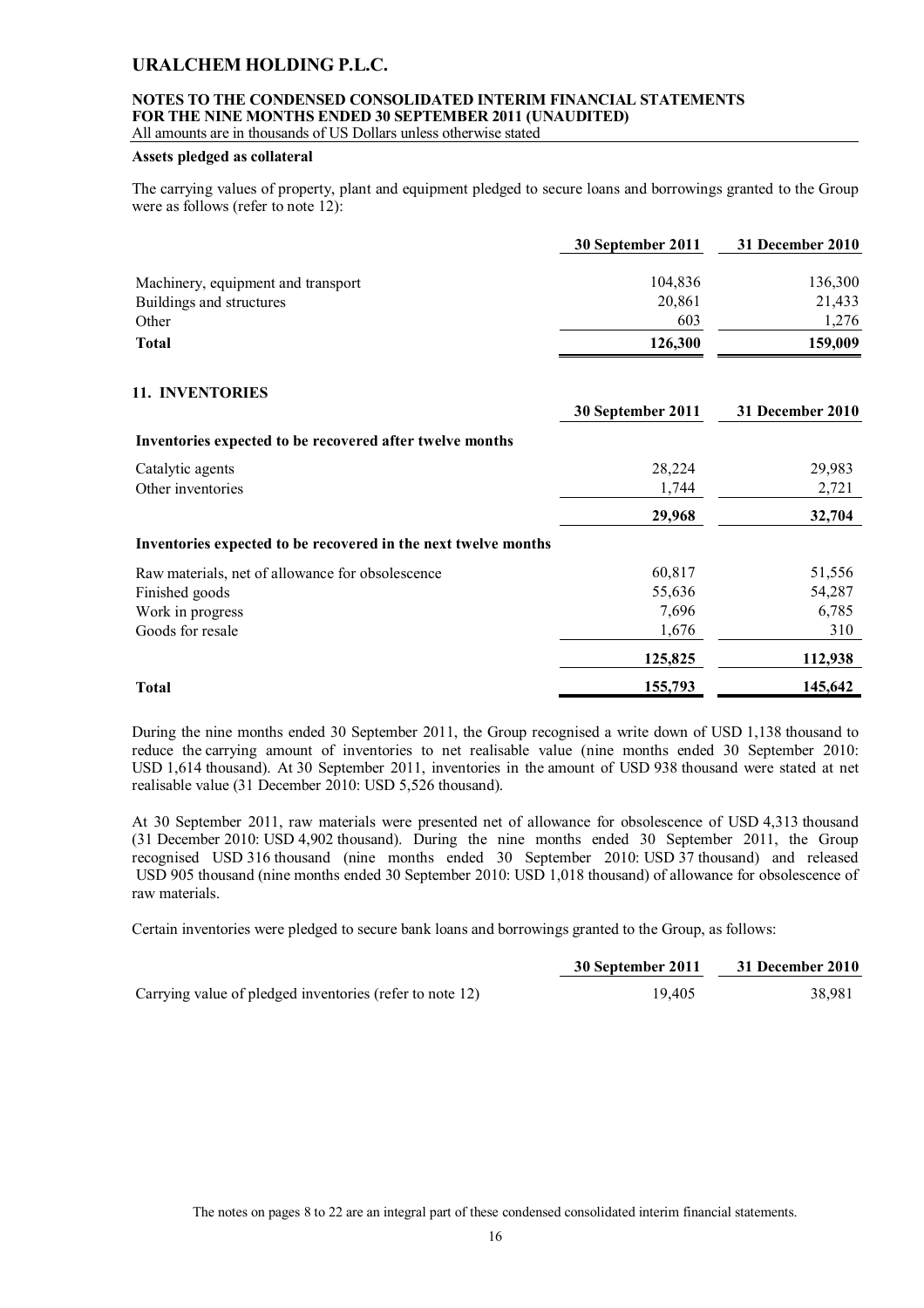### **NOTES TO THE CONDENSED CONSOLIDATED INTERIM FINANCIAL STATEMENTS FOR THE NINE MONTHS ENDED 30 SEPTEMBER 2011 (UNAUDITED)**

All amounts are in thousands of US Dollars unless otherwise stated

### **Assets pledged as collateral**

The carrying values of property, plant and equipment pledged to secure loans and borrowings granted to the Group were as follows (refer to note 12):

| 30 September 2011 | 31 December 2010 |
|-------------------|------------------|
| 104,836           | 136,300          |
| 20.861            | 21,433           |
| 603               | 1,276            |
| 126,300           | 159,009          |
|                   |                  |

### **11. INVENTORIES**

|                                                                | 30 September 2011 | 31 December 2010 |
|----------------------------------------------------------------|-------------------|------------------|
| Inventories expected to be recovered after twelve months       |                   |                  |
| Catalytic agents                                               | 28,224            | 29,983           |
| Other inventories                                              | 1,744             | 2,721            |
|                                                                | 29,968            | 32,704           |
| Inventories expected to be recovered in the next twelve months |                   |                  |
| Raw materials, net of allowance for obsolescence               | 60,817            | 51,556           |
| Finished goods                                                 | 55,636            | 54,287           |
| Work in progress                                               | 7,696             | 6,785            |
| Goods for resale                                               | 1,676             | 310              |
|                                                                | 125,825           | 112,938          |
| <b>Total</b>                                                   | 155,793           | 145,642          |

During the nine months ended 30 September 2011, the Group recognised a write down of USD 1,138 thousand to reduce the carrying amount of inventories to net realisable value (nine months ended 30 September 2010: USD 1,614 thousand). At 30 September 2011, inventories in the amount of USD 938 thousand were stated at net realisable value (31 December 2010: USD 5,526 thousand).

At 30 September 2011, raw materials were presented net of allowance for obsolescence of USD 4,313 thousand (31 December 2010: USD 4,902 thousand). During the nine months ended 30 September 2011, the Group recognised USD 316 thousand (nine months ended 30 September 2010: USD 37 thousand) and released USD 905 thousand (nine months ended 30 September 2010: USD 1,018 thousand) of allowance for obsolescence of raw materials.

Certain inventories were pledged to secure bank loans and borrowings granted to the Group, as follows:

|                                                          | 30 September 2011 | 31 December 2010 |
|----------------------------------------------------------|-------------------|------------------|
| Carrying value of pledged inventories (refer to note 12) | 19.405            | 38.981           |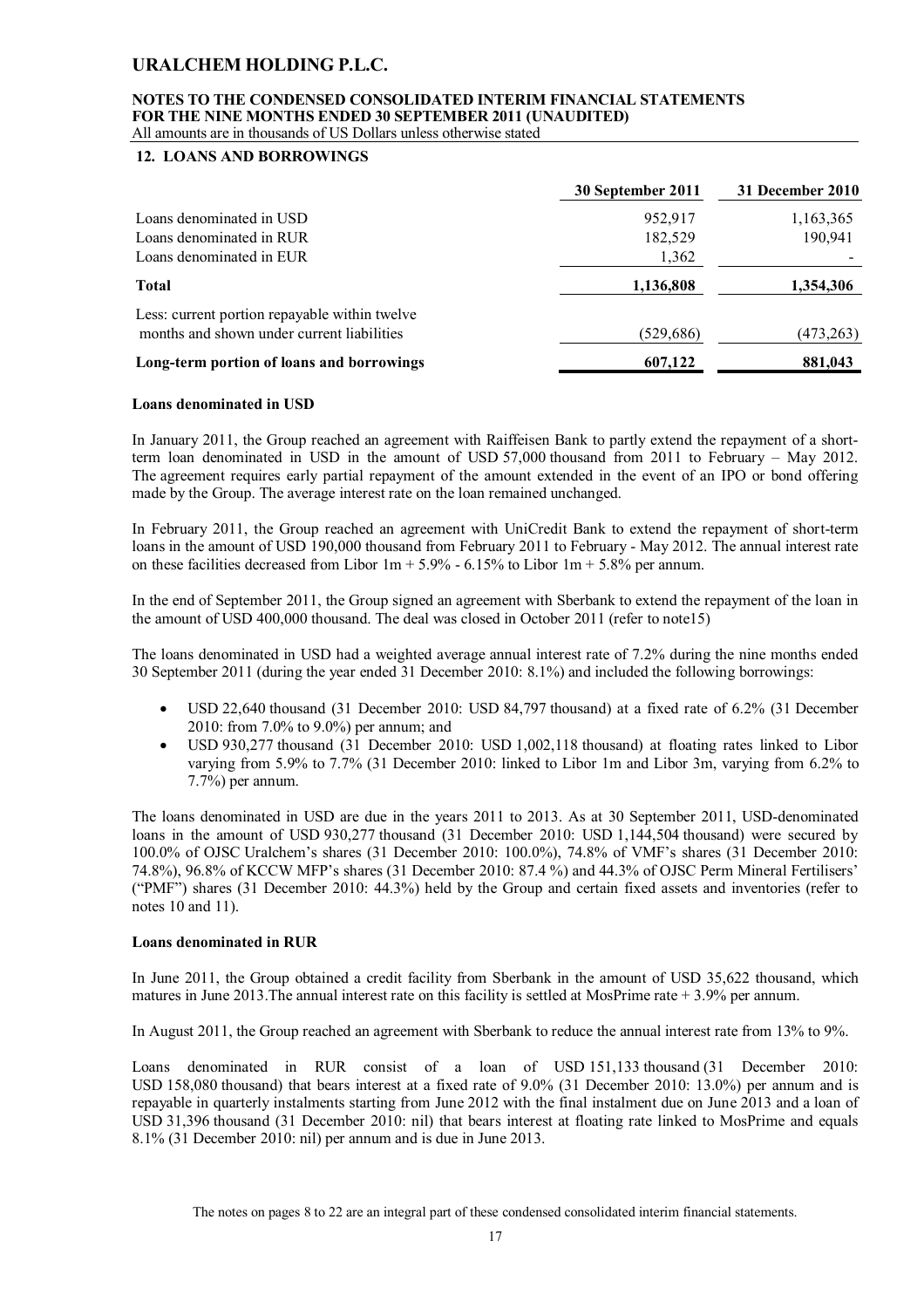#### **NOTES TO THE CONDENSED CONSOLIDATED INTERIM FINANCIAL STATEMENTS FOR THE NINE MONTHS ENDED 30 SEPTEMBER 2011 (UNAUDITED)** All amounts are in thousands of US Dollars unless otherwise stated

### **12. LOANS AND BORROWINGS**

|                                                                                             | 30 September 2011 | 31 December 2010 |
|---------------------------------------------------------------------------------------------|-------------------|------------------|
| Loans denominated in USD                                                                    | 952,917           | 1,163,365        |
| Loans denominated in RUR                                                                    | 182,529           | 190,941          |
| Loans denominated in EUR                                                                    | 1,362             |                  |
| <b>Total</b>                                                                                | 1,136,808         | 1,354,306        |
| Less: current portion repayable within twelve<br>months and shown under current liabilities | (529,686)         | (473,263)        |
| Long-term portion of loans and borrowings                                                   | 607,122           | 881,043          |

### **Loans denominated in USD**

In January 2011, the Group reached an agreement with Raiffeisen Bank to partly extend the repayment of a shortterm loan denominated in USD in the amount of USD 57,000 thousand from 2011 to February – May 2012. The agreement requires early partial repayment of the amount extended in the event of an IPO or bond offering made by the Group. The average interest rate on the loan remained unchanged.

In February 2011, the Group reached an agreement with UniCredit Bank to extend the repayment of short-term loans in the amount of USD 190,000 thousand from February 2011 to February - May 2012. The annual interest rate on these facilities decreased from Libor  $1m + 5.9%$  - 6.15% to Libor  $1m + 5.8%$  per annum.

In the end of September 2011, the Group signed an agreement with Sberbank to extend the repayment of the loan in the amount of USD 400,000 thousand. The deal was closed in October 2011 (refer to note15)

The loans denominated in USD had a weighted average annual interest rate of 7.2% during the nine months ended 30 September 2011 (during the year ended 31 December 2010: 8.1%) and included the following borrowings:

- USD 22,640 thousand (31 December 2010: USD 84,797 thousand) at a fixed rate of 6.2% (31 December 2010: from 7.0% to 9.0%) per annum; and
- USD 930,277 thousand (31 December 2010: USD 1,002,118 thousand) at floating rates linked to Libor varying from 5.9% to 7.7% (31 December 2010: linked to Libor 1m and Libor 3m, varying from 6.2% to 7.7%) per annum.

The loans denominated in USD are due in the years 2011 to 2013. As at 30 September 2011, USD-denominated loans in the amount of USD 930,277 thousand (31 December 2010: USD 1,144,504 thousand) were secured by 100.0% of OJSC Uralchem's shares (31 December 2010: 100.0%), 74.8% of VMF's shares (31 December 2010: 74.8%), 96.8% of KCCW MFP's shares (31 December 2010: 87.4 %) and 44.3% of OJSC Perm Mineral Fertilisers' ("PMF") shares (31 December 2010: 44.3%) held by the Group and certain fixed assets and inventories (refer to notes 10 and 11).

#### **Loans denominated in RUR**

In June 2011, the Group obtained a credit facility from Sberbank in the amount of USD 35,622 thousand, which matures in June 2013. The annual interest rate on this facility is settled at MosPrime rate  $+3.9\%$  per annum.

In August 2011, the Group reached an agreement with Sberbank to reduce the annual interest rate from 13% to 9%.

Loans denominated in RUR consist of a loan of USD 151,133 thousand (31 December 2010: USD 158,080 thousand) that bears interest at a fixed rate of 9.0% (31 December 2010: 13.0%) per annum and is repayable in quarterly instalments starting from June 2012 with the final instalment due on June 2013 and a loan of USD 31,396 thousand (31 December 2010: nil) that bears interest at floating rate linked to MosPrime and equals 8.1% (31 December 2010: nil) per annum and is due in June 2013.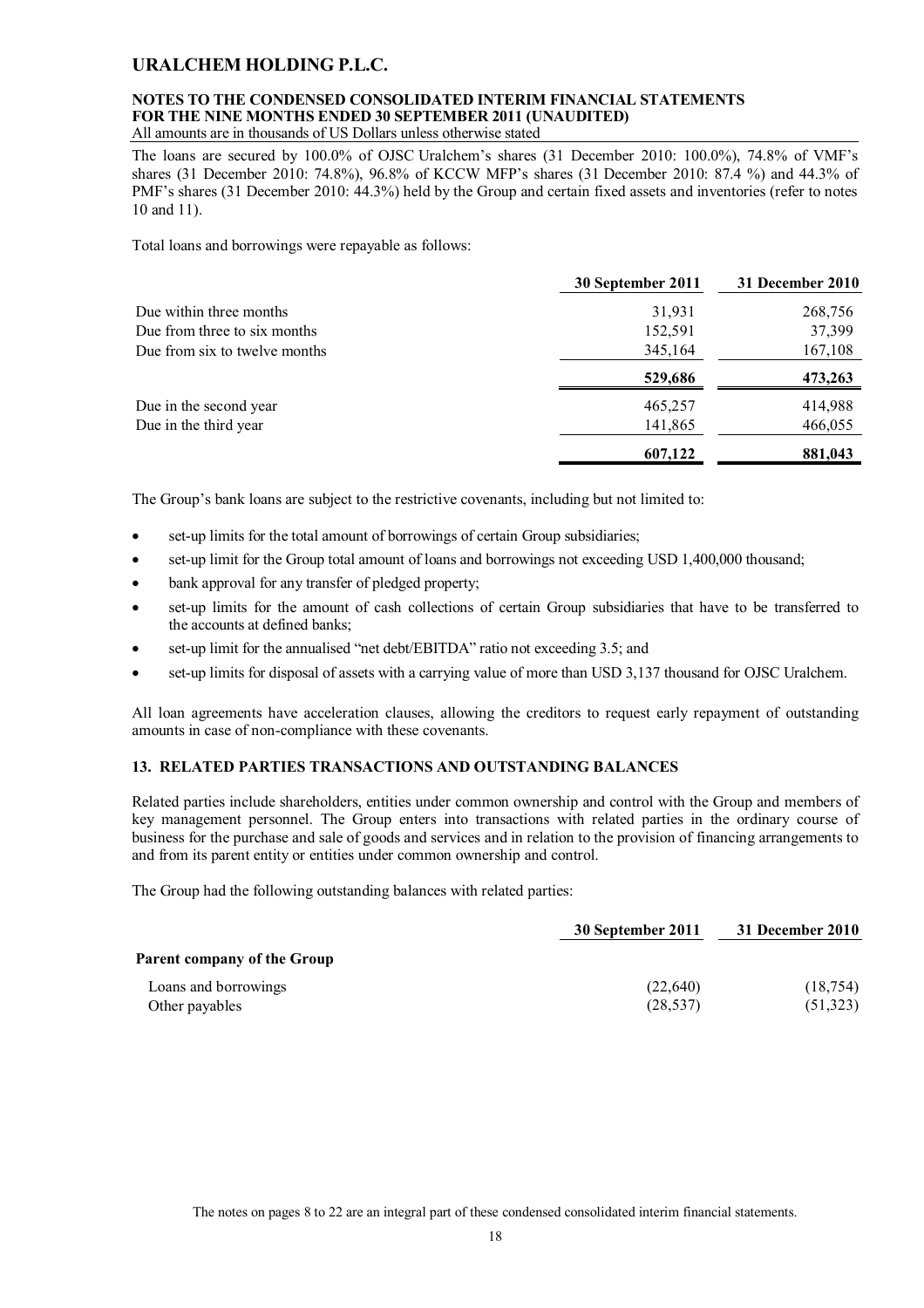# **NOTES TO THE CONDENSED CONSOLIDATED INTERIM FINANCIAL STATEMENTS FOR THE NINE MONTHS ENDED 30 SEPTEMBER 2011 (UNAUDITED)**

All amounts are in thousands of US Dollars unless otherwise stated

The loans are secured by 100.0% of OJSC Uralchem's shares (31 December 2010: 100.0%), 74.8% of VMF's shares (31 December 2010: 74.8%), 96.8% of KCCW MFP's shares (31 December 2010: 87.4 %) and 44.3% of PMF's shares (31 December 2010: 44.3%) held by the Group and certain fixed assets and inventories (refer to notes 10 and 11).

Total loans and borrowings were repayable as follows:

|                               | 30 September 2011 | 31 December 2010 |
|-------------------------------|-------------------|------------------|
| Due within three months       | 31,931            | 268,756          |
| Due from three to six months  | 152,591           | 37,399           |
| Due from six to twelve months | 345,164           | 167,108          |
|                               | 529,686           | 473,263          |
| Due in the second year        | 465,257           | 414,988          |
| Due in the third year         | 141,865           | 466,055          |
|                               | 607,122           | 881,043          |

The Group's bank loans are subject to the restrictive covenants, including but not limited to:

- set-up limits for the total amount of borrowings of certain Group subsidiaries;
- set-up limit for the Group total amount of loans and borrowings not exceeding USD 1,400,000 thousand;
- bank approval for any transfer of pledged property;
- set-up limits for the amount of cash collections of certain Group subsidiaries that have to be transferred to the accounts at defined banks;
- set-up limit for the annualised "net debt/EBITDA" ratio not exceeding 3.5; and
- set-up limits for disposal of assets with a carrying value of more than USD 3,137 thousand for OJSC Uralchem.

All loan agreements have acceleration clauses, allowing the creditors to request early repayment of outstanding amounts in case of non-compliance with these covenants.

### **13. RELATED PARTIES TRANSACTIONS AND OUTSTANDING BALANCES**

Related parties include shareholders, entities under common ownership and control with the Group and members of key management personnel. The Group enters into transactions with related parties in the ordinary course of business for the purchase and sale of goods and services and in relation to the provision of financing arrangements to and from its parent entity or entities under common ownership and control.

The Group had the following outstanding balances with related parties:

|                                    | 30 September 2011 | 31 December 2010 |
|------------------------------------|-------------------|------------------|
| <b>Parent company of the Group</b> |                   |                  |
| Loans and borrowings               | (22,640)          | (18, 754)        |
| Other payables                     | (28, 537)         | (51,323)         |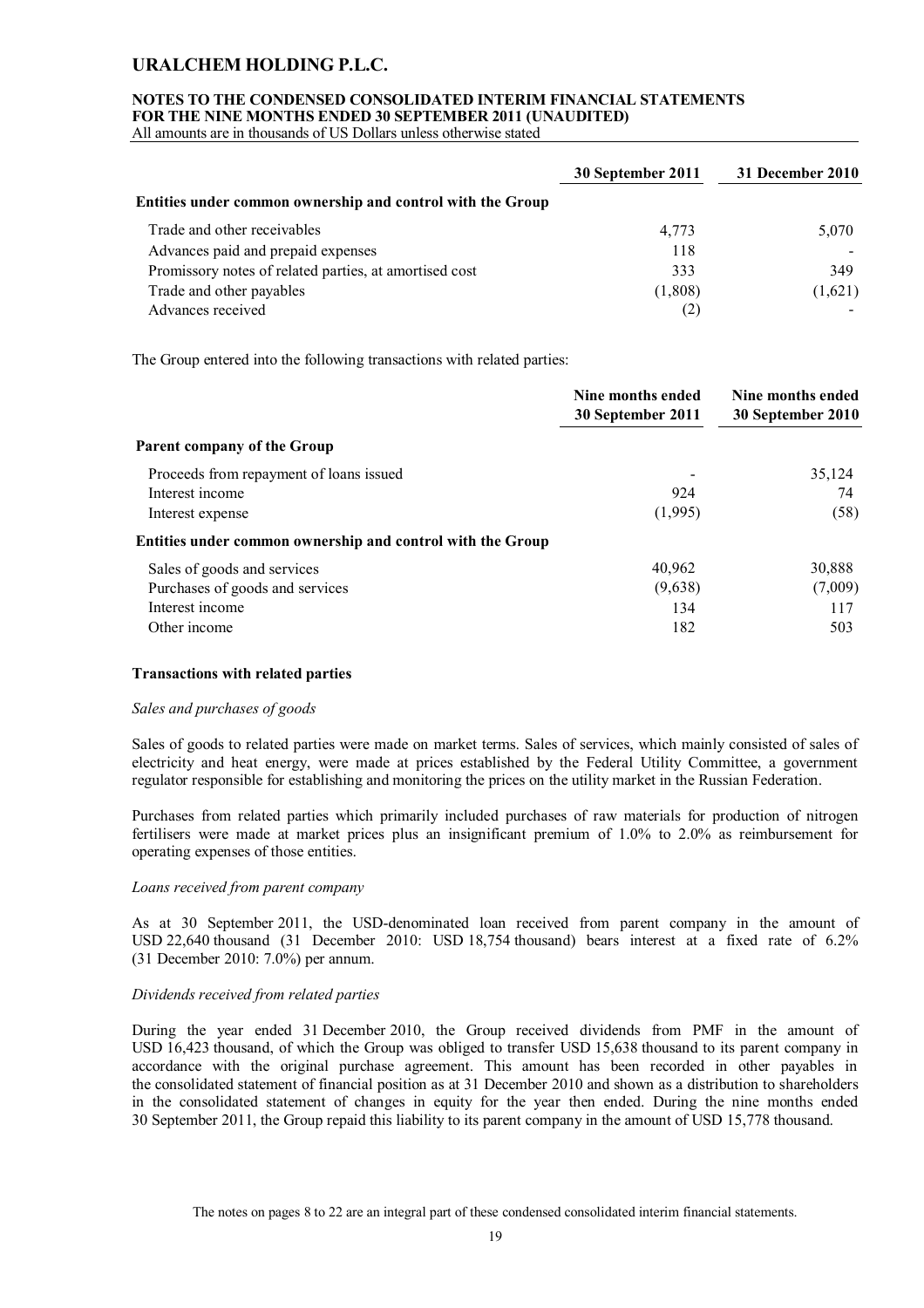#### **NOTES TO THE CONDENSED CONSOLIDATED INTERIM FINANCIAL STATEMENTS FOR THE NINE MONTHS ENDED 30 SEPTEMBER 2011 (UNAUDITED)**

All amounts are in thousands of US Dollars unless otherwise stated

|                                                            | 30 September 2011 | 31 December 2010 |
|------------------------------------------------------------|-------------------|------------------|
| Entities under common ownership and control with the Group |                   |                  |
| Trade and other receivables                                | 4,773             | 5,070            |
| Advances paid and prepaid expenses                         | 118               |                  |
| Promissory notes of related parties, at amortised cost     | 333               | 349              |
| Trade and other payables                                   | (1,808)           | (1,621)          |
| Advances received                                          | 2                 |                  |

The Group entered into the following transactions with related parties:

|                                                            | Nine months ended<br>30 September 2011 | Nine months ended<br>30 September 2010 |
|------------------------------------------------------------|----------------------------------------|----------------------------------------|
| Parent company of the Group                                |                                        |                                        |
| Proceeds from repayment of loans issued                    |                                        | 35,124                                 |
| Interest income                                            | 924                                    | 74                                     |
| Interest expense                                           | (1,995)                                | (58)                                   |
| Entities under common ownership and control with the Group |                                        |                                        |
| Sales of goods and services                                | 40,962                                 | 30,888                                 |
| Purchases of goods and services                            | (9,638)                                | (7,009)                                |
| Interest income                                            | 134                                    | 117                                    |
| Other income                                               | 182                                    | 503                                    |

### **Transactions with related parties**

#### *Sales and purchases of goods*

Sales of goods to related parties were made on market terms. Sales of services, which mainly consisted of sales of electricity and heat energy, were made at prices established by the Federal Utility Committee, a government regulator responsible for establishing and monitoring the prices on the utility market in the Russian Federation.

Purchases from related parties which primarily included purchases of raw materials for production of nitrogen fertilisers were made at market prices plus an insignificant premium of 1.0% to 2.0% as reimbursement for operating expenses of those entities.

### *Loans received from parent company*

As at 30 September 2011, the USD-denominated loan received from parent company in the amount of USD 22,640 thousand (31 December 2010: USD 18,754 thousand) bears interest at a fixed rate of 6.2% (31 December 2010: 7.0%) per annum.

#### *Dividends received from related parties*

During the year ended 31 December 2010, the Group received dividends from PMF in the amount of USD 16,423 thousand, of which the Group was obliged to transfer USD 15,638 thousand to its parent company in accordance with the original purchase agreement. This amount has been recorded in other payables in the consolidated statement of financial position as at 31 December 2010 and shown as a distribution to shareholders in the consolidated statement of changes in equity for the year then ended. During the nine months ended 30 September 2011, the Group repaid this liability to its parent company in the amount of USD 15,778 thousand.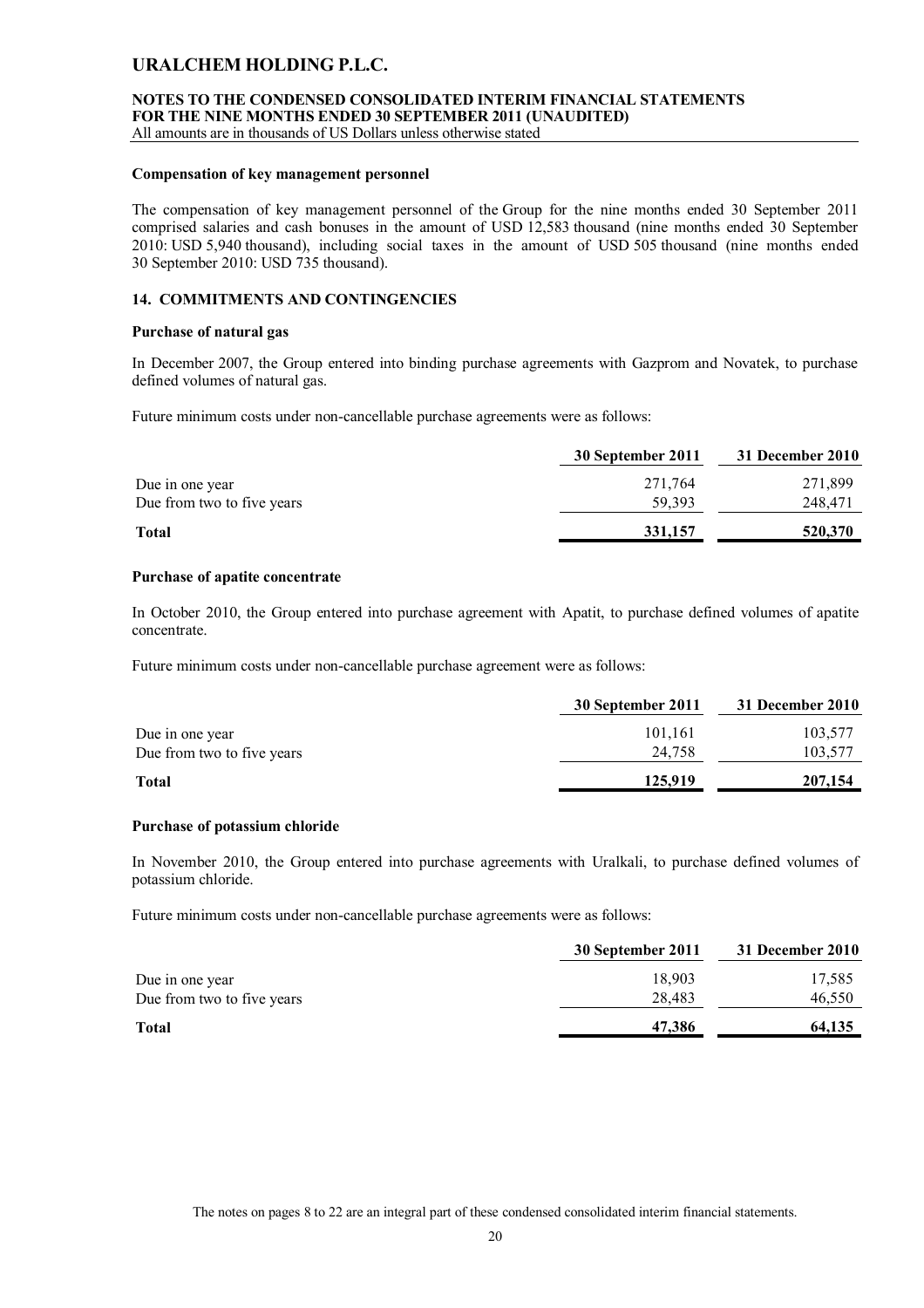### **NOTES TO THE CONDENSED CONSOLIDATED INTERIM FINANCIAL STATEMENTS FOR THE NINE MONTHS ENDED 30 SEPTEMBER 2011 (UNAUDITED)**

All amounts are in thousands of US Dollars unless otherwise stated

#### **Compensation of key management personnel**

The compensation of key management personnel of the Group for the nine months ended 30 September 2011 comprised salaries and cash bonuses in the amount of USD 12,583 thousand (nine months ended 30 September 2010: USD 5,940 thousand), including social taxes in the amount of USD 505 thousand (nine months ended 30 September 2010: USD 735 thousand).

### **14. COMMITMENTS AND CONTINGENCIES**

### **Purchase of natural gas**

In December 2007, the Group entered into binding purchase agreements with Gazprom and Novatek, to purchase defined volumes of natural gas.

Future minimum costs under non-cancellable purchase agreements were as follows:

|                            | 30 September 2011 | 31 December 2010 |
|----------------------------|-------------------|------------------|
| Due in one year            | 271,764           | 271,899          |
| Due from two to five years | 59.393            | 248,471          |
| <b>Total</b>               | 331,157           | 520,370          |
|                            |                   |                  |

### **Purchase of apatite concentrate**

In October 2010, the Group entered into purchase agreement with Apatit, to purchase defined volumes of apatite concentrate.

Future minimum costs under non-cancellable purchase agreement were as follows:

|                            | 30 September 2011 | 31 December 2010 |
|----------------------------|-------------------|------------------|
| Due in one year            | 101,161           | 103,577          |
| Due from two to five years | 24.758            | 103,577          |
| <b>Total</b>               | 125,919           | 207,154          |

#### **Purchase of potassium chloride**

In November 2010, the Group entered into purchase agreements with Uralkali, to purchase defined volumes of potassium chloride.

Future minimum costs under non-cancellable purchase agreements were as follows:

| 30 September 2011 | 31 December 2010 |
|-------------------|------------------|
| 18.903            | 17,585           |
| 28.483            | 46,550           |
| 47,386            | 64,135           |
|                   |                  |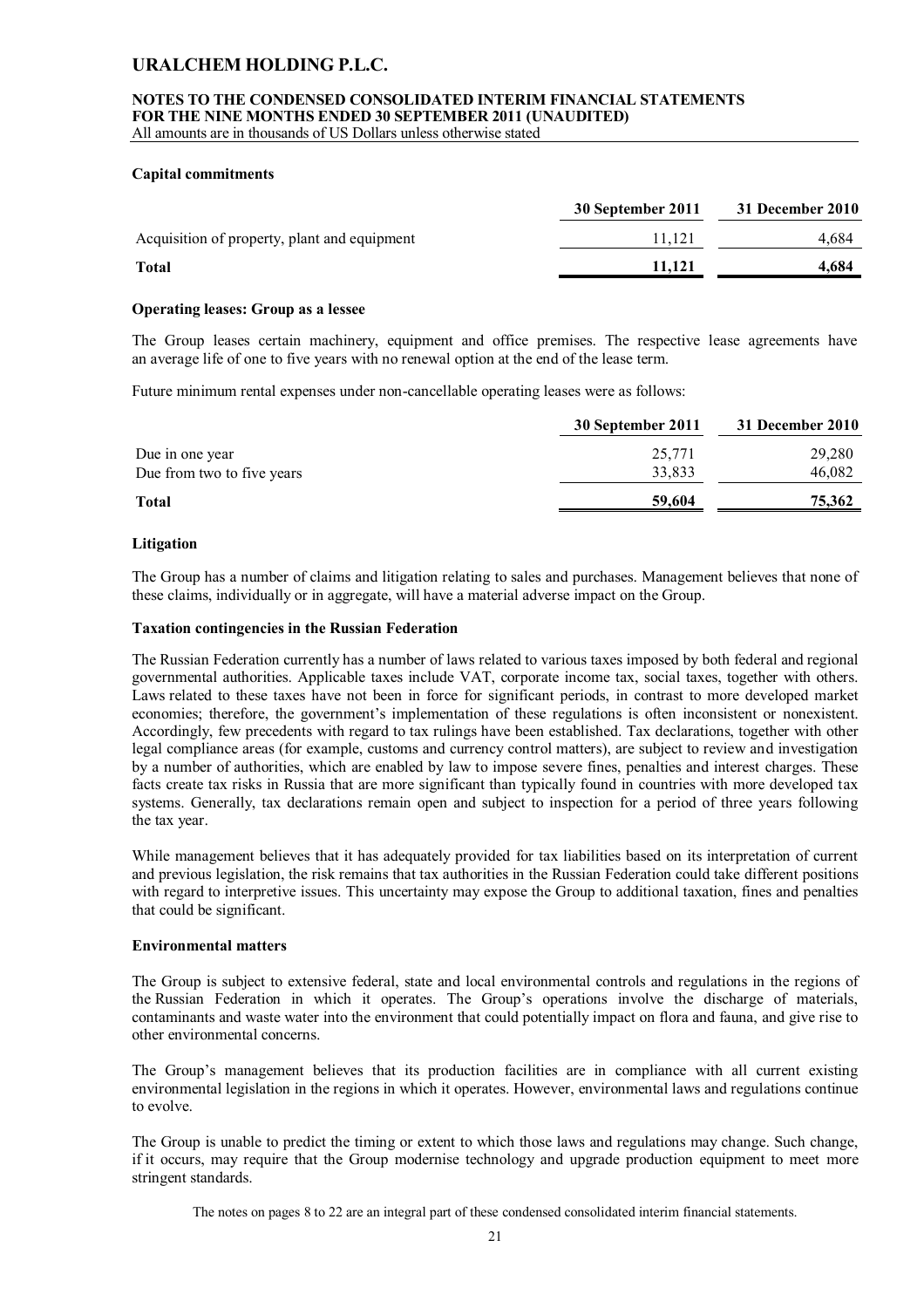### **NOTES TO THE CONDENSED CONSOLIDATED INTERIM FINANCIAL STATEMENTS FOR THE NINE MONTHS ENDED 30 SEPTEMBER 2011 (UNAUDITED)**

All amounts are in thousands of US Dollars unless otherwise stated

### **Capital commitments**

|                                              | 30 September 2011 | 31 December 2010 |
|----------------------------------------------|-------------------|------------------|
| Acquisition of property, plant and equipment | 11.121            | 4.684            |
| <b>Total</b>                                 | 11.121            | 4,684            |

### **Operating leases: Group as a lessee**

The Group leases certain machinery, equipment and office premises. The respective lease agreements have an average life of one to five years with no renewal option at the end of the lease term.

Future minimum rental expenses under non-cancellable operating leases were as follows:

|                            | 30 September 2011 | 31 December 2010 |
|----------------------------|-------------------|------------------|
| Due in one year            | 25,771            | 29,280           |
| Due from two to five years | 33.833            | 46,082           |
| <b>Total</b>               | 59,604            | 75,362           |

### **Litigation**

The Group has a number of claims and litigation relating to sales and purchases. Management believes that none of these claims, individually or in aggregate, will have a material adverse impact on the Group.

#### **Taxation contingencies in the Russian Federation**

The Russian Federation currently has a number of laws related to various taxes imposed by both federal and regional governmental authorities. Applicable taxes include VAT, corporate income tax, social taxes, together with others. Laws related to these taxes have not been in force for significant periods, in contrast to more developed market economies; therefore, the government's implementation of these regulations is often inconsistent or nonexistent. Accordingly, few precedents with regard to tax rulings have been established. Tax declarations, together with other legal compliance areas (for example, customs and currency control matters), are subject to review and investigation by a number of authorities, which are enabled by law to impose severe fines, penalties and interest charges. These facts create tax risks in Russia that are more significant than typically found in countries with more developed tax systems. Generally, tax declarations remain open and subject to inspection for a period of three years following the tax year.

While management believes that it has adequately provided for tax liabilities based on its interpretation of current and previous legislation, the risk remains that tax authorities in the Russian Federation could take different positions with regard to interpretive issues. This uncertainty may expose the Group to additional taxation, fines and penalties that could be significant.

### **Environmental matters**

The Group is subject to extensive federal, state and local environmental controls and regulations in the regions of the Russian Federation in which it operates. The Group's operations involve the discharge of materials, contaminants and waste water into the environment that could potentially impact on flora and fauna, and give rise to other environmental concerns.

The Group's management believes that its production facilities are in compliance with all current existing environmental legislation in the regions in which it operates. However, environmental laws and regulations continue to evolve.

The Group is unable to predict the timing or extent to which those laws and regulations may change. Such change, if it occurs, may require that the Group modernise technology and upgrade production equipment to meet more stringent standards.